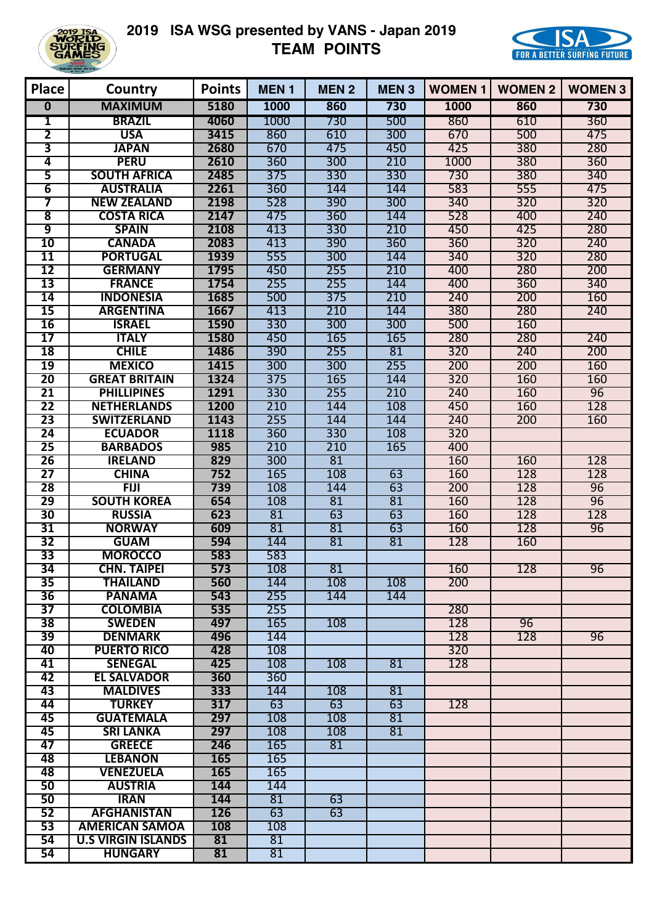

### **2019 ISA WSG presented by VANS - Japan 2019 TEAM POINTS**



| <b>Place</b>            | Country                          | <b>Points</b> | <b>MEN1</b> | <b>MEN2</b> | <b>MEN3</b> | <b>WOMEN1</b> | <b>WOMEN 2</b> | <b>WOMEN 3</b> |
|-------------------------|----------------------------------|---------------|-------------|-------------|-------------|---------------|----------------|----------------|
| $\overline{\mathbf{0}}$ | <b>MAXIMUM</b>                   | 5180          | 1000        | 860         | 730         | 1000          | 860            | 730            |
| 1                       | <b>BRAZIL</b>                    | 4060          | 1000        | 730         | 500         | 860           | 610            | 360            |
| $\overline{\mathbf{2}}$ | <b>USA</b>                       | 3415          | 860         | 610         | 300         | 670           | 500            | 475            |
| $\overline{\mathbf{3}}$ | <b>JAPAN</b>                     | 2680          | 670         | 475         | 450         | 425           | 380            | 280            |
| 4                       | <b>PERU</b>                      | 2610          | 360         | 300         | 210         | 1000          | 380            | 360            |
| 5                       | <b>SOUTH AFRICA</b>              | 2485          | 375         | 330         | 330         | 730           | 380            | 340            |
| $\overline{\mathbf{6}}$ | <b>AUSTRALIA</b>                 | 2261          | 360         | 144         | 144         | 583           | 555            | 475            |
| 7                       | <b>NEW ZEALAND</b>               | 2198          | 528         | 390         | 300         | 340           | 320            | 320            |
| $\overline{\mathbf{8}}$ | <b>COSTA RICA</b>                | 2147          | 475         | 360         | 144         | 528           | 400            | 240            |
| 9                       | <b>SPAIN</b>                     | 2108<br>2083  | 413         | 330         | 210         | 450           | 425<br>320     | 280            |
| 10<br>11                | <b>CANADA</b><br><b>PORTUGAL</b> | 1939          | 413<br>555  | 390<br>300  | 360<br>144  | 360<br>340    | 320            | 240<br>280     |
| $\overline{12}$         | <b>GERMANY</b>                   | 1795          | 450         | 255         | 210         | 400           | 280            | 200            |
| 13                      | <b>FRANCE</b>                    | 1754          | 255         | 255         | 144         | 400           | 360            | 340            |
| 14                      | <b>INDONESIA</b>                 | 1685          | 500         | 375         | 210         | 240           | 200            | 160            |
| 15                      | <b>ARGENTINA</b>                 | 1667          | 413         | 210         | 144         | 380           | 280            | 240            |
| 16                      | <b>ISRAEL</b>                    | 1590          | 330         | 300         | 300         | 500           | 160            |                |
| 17                      | <b>ITALY</b>                     | 1580          | 450         | 165         | 165         | 280           | 280            | 240            |
| 18                      | <b>CHILE</b>                     | 1486          | 390         | 255         | 81          | 320           | 240            | 200            |
| 19                      | <b>MEXICO</b>                    | 1415          | 300         | 300         | 255         | 200           | 200            | 160            |
| 20                      | <b>GREAT BRITAIN</b>             | 1324          | 375         | 165         | 144         | 320           | 160            | 160            |
| 21                      | <b>PHILLIPINES</b>               | 1291          | 330         | 255         | 210         | 240           | 160            | 96             |
| 22                      | <b>NETHERLANDS</b>               | 1200          | 210         | 144         | 108         | 450           | 160            | 128            |
| 23                      | <b>SWITZERLAND</b>               | 1143          | 255         | 144         | 144         | 240           | 200            | 160            |
| 24                      | <b>ECUADOR</b>                   | 1118          | 360         | 330         | 108         | 320           |                |                |
| 25                      | <b>BARBADOS</b>                  | 985           | 210         | 210         | 165         | 400           |                |                |
| 26                      | <b>IRELAND</b>                   | 829           | 300         | 81          |             | 160           | 160            | 128            |
| 27                      | <b>CHINA</b>                     | 752           | 165         | 108         | 63          | 160           | 128            | 128            |
| 28                      | <b>FIJI</b>                      | 739           | 108         | 144         | 63          | 200           | 128            | 96             |
| 29                      | <b>SOUTH KOREA</b>               | 654           | 108         | 81          | 81          | 160           | 128            | 96             |
| 30                      | <b>RUSSIA</b>                    | 623           | 81          | 63          | 63          | 160           | 128            | 128            |
| 31                      | <b>NORWAY</b>                    | 609           | 81          | 81          | 63          | 160           | 128            | 96             |
| $\overline{32}$         | <b>GUAM</b>                      | 594           | 144         | 81          | 81          | 128           | 160            |                |
| $\overline{33}$         | <b>MOROCCO</b>                   | 583           | 583         |             |             |               |                |                |
| 34                      | <b>CHN. TAIPEI</b>               | 573           | 108         | 81          |             | 160           | 128            | 96             |
| 35                      | <b>THAILAND</b>                  | 560           | 144         | 108         | 108         | 200           |                |                |
| 36                      | <b>PANAMA</b>                    | 543           | 255         | 144         | 144         |               |                |                |
| 37<br>38                | <b>COLOMBIA</b><br><b>SWEDEN</b> | 535<br>497    | 255<br>165  | 108         |             | 280<br>128    | 96             |                |
| 39                      | <b>DENMARK</b>                   | 496           | 144         |             |             | 128           | 128            | 96             |
| 40                      | <b>PUERTO RICO</b>               | 428           | 108         |             |             | 320           |                |                |
| 41                      | <b>SENEGAL</b>                   | 425           | 108         | 108         | 81          | 128           |                |                |
| 42                      | <b>EL SALVADOR</b>               | 360           | 360         |             |             |               |                |                |
| 43                      | <b>MALDIVES</b>                  | 333           | 144         | 108         | 81          |               |                |                |
| 44                      | <b>TURKEY</b>                    | 317           | 63          | 63          | 63          | 128           |                |                |
| 45                      | <b>GUATEMALA</b>                 | 297           | 108         | 108         | 81          |               |                |                |
| 45                      | <b>SRI LANKA</b>                 | 297           | 108         | 108         | 81          |               |                |                |
| 47                      | <b>GREECE</b>                    | 246           | 165         | 81          |             |               |                |                |
| 48                      | <b>LEBANON</b>                   | 165           | 165         |             |             |               |                |                |
| 48                      | <b>VENEZUELA</b>                 | 165           | 165         |             |             |               |                |                |
| 50                      | <b>AUSTRIA</b>                   | 144           | 144         |             |             |               |                |                |
| 50                      | <b>IRAN</b>                      | 144           | 81          | 63          |             |               |                |                |
| 52                      | <b>AFGHANISTAN</b>               | 126           | 63          | 63          |             |               |                |                |
| 53                      | <b>AMERICAN SAMOA</b>            | 108           | 108         |             |             |               |                |                |
| 54                      | <b>U.S VIRGIN ISLANDS</b>        | 81            | 81          |             |             |               |                |                |
| 54                      | <b>HUNGARY</b>                   | 81            | 81          |             |             |               |                |                |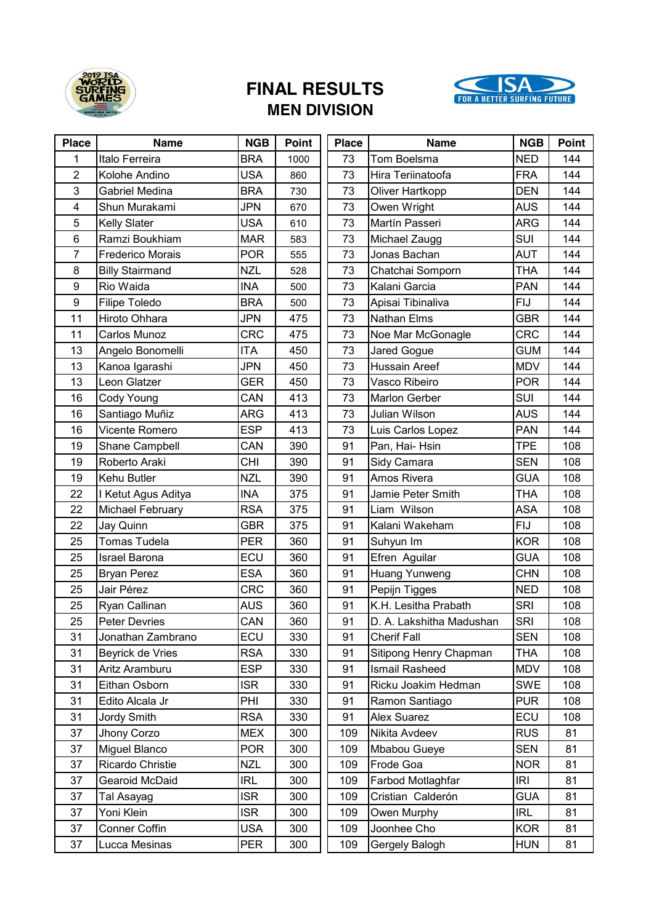

### **FINAL RESULTS MEN DIVISION**



| <b>Place</b>   | <b>Name</b>             | <b>NGB</b> | Point | <b>Place</b> | <b>Name</b>              | <b>NGB</b> | Point |
|----------------|-------------------------|------------|-------|--------------|--------------------------|------------|-------|
| 1              | Italo Ferreira          | <b>BRA</b> | 1000  | 73           | Tom Boelsma              | <b>NED</b> | 144   |
| $\overline{2}$ | Kolohe Andino           | <b>USA</b> | 860   | 73           | Hira Teriinatoofa        | <b>FRA</b> | 144   |
| 3              | <b>Gabriel Medina</b>   | <b>BRA</b> | 730   | 73           | Oliver Hartkopp          | <b>DEN</b> | 144   |
| 4              | Shun Murakami           | <b>JPN</b> | 670   | 73           | Owen Wright              | <b>AUS</b> | 144   |
| 5              | <b>Kelly Slater</b>     | <b>USA</b> | 610   | 73           | Martín Passeri           | <b>ARG</b> | 144   |
| 6              | Ramzi Boukhiam          | <b>MAR</b> | 583   | 73           | Michael Zaugg            | SUI        | 144   |
| $\overline{7}$ | <b>Frederico Morais</b> | <b>POR</b> | 555   | 73           | Jonas Bachan             | <b>AUT</b> | 144   |
| 8              | <b>Billy Stairmand</b>  | <b>NZL</b> | 528   | 73           | Chatchai Somporn         | <b>THA</b> | 144   |
| 9              | Rio Waida               | <b>INA</b> | 500   | 73           | Kalani Garcia            | <b>PAN</b> | 144   |
| 9              | Filipe Toledo           | <b>BRA</b> | 500   | 73           | Apisai Tibinaliva        | FIJ        | 144   |
| 11             | Hiroto Ohhara           | <b>JPN</b> | 475   | 73           | Nathan Elms              | <b>GBR</b> | 144   |
| 11             | Carlos Munoz            | <b>CRC</b> | 475   | 73           | Noe Mar McGonagle        | <b>CRC</b> | 144   |
| 13             | Angelo Bonomelli        | <b>ITA</b> | 450   | 73           | Jared Gogue              | <b>GUM</b> | 144   |
| 13             | Kanoa Igarashi          | <b>JPN</b> | 450   | 73           | Hussain Areef            | <b>MDV</b> | 144   |
| 13             | Leon Glatzer            | <b>GER</b> | 450   | 73           | Vasco Ribeiro            | <b>POR</b> | 144   |
| 16             | Cody Young              | CAN        | 413   | 73           | Marlon Gerber            | SUI        | 144   |
| 16             | Santiago Muñiz          | ARG        | 413   | 73           | Julian Wilson            | AUS        | 144   |
| 16             | Vicente Romero          | <b>ESP</b> | 413   | 73           | Luis Carlos Lopez        | <b>PAN</b> | 144   |
| 19             | Shane Campbell          | CAN        | 390   | 91           | Pan, Hai- Hsin           | <b>TPE</b> | 108   |
| 19             | Roberto Araki           | <b>CHI</b> | 390   | 91           | Sidy Camara              | <b>SEN</b> | 108   |
| 19             | Kehu Butler             | <b>NZL</b> | 390   | 91           | Amos Rivera              | <b>GUA</b> | 108   |
| 22             | I Ketut Agus Aditya     | <b>INA</b> | 375   | 91           | Jamie Peter Smith        | <b>THA</b> | 108   |
| 22             | Michael February        | <b>RSA</b> | 375   | 91           | Liam Wilson              | ASA        | 108   |
| 22             | Jay Quinn               | <b>GBR</b> | 375   | 91           | Kalani Wakeham           | FIJ        | 108   |
| 25             | <b>Tomas Tudela</b>     | <b>PER</b> | 360   | 91           | Suhyun Im                | <b>KOR</b> | 108   |
| 25             | <b>Israel Barona</b>    | ECU        | 360   | 91           | Efren Aguilar            | <b>GUA</b> | 108   |
| 25             | <b>Bryan Perez</b>      | <b>ESA</b> | 360   | 91           | Huang Yunweng            | <b>CHN</b> | 108   |
| 25             | Jair Pérez              | <b>CRC</b> | 360   | 91           | Pepijn Tigges            | <b>NED</b> | 108   |
| 25             | Ryan Callinan           | <b>AUS</b> | 360   | 91           | K.H. Lesitha Prabath     | <b>SRI</b> | 108   |
| 25             | <b>Peter Devries</b>    | CAN        | 360   | 91           | D. A. Lakshitha Madushan | <b>SRI</b> | 108   |
| 31             | Jonathan Zambrano       | ECU        | 330   | 91           | <b>Cherif Fall</b>       | <b>SEN</b> | 108   |
| 31             | Beyrick de Vries        | <b>RSA</b> | 330   | 91           | Sitipong Henry Chapman   | <b>THA</b> | 108   |
| 31             | Aritz Aramburu          | <b>ESP</b> | 330   | 91           | Ismail Rasheed           | <b>MDV</b> | 108   |
| 31             | Eithan Osborn           | <b>ISR</b> | 330   | 91           | Ricku Joakim Hedman      | <b>SWE</b> | 108   |
| 31             | Edito Alcala Jr         | PHI        | 330   | 91           | Ramon Santiago           | <b>PUR</b> | 108   |
| 31             | Jordy Smith             | <b>RSA</b> | 330   | 91           | Alex Suarez              | ECU        | 108   |
| 37             | Jhony Corzo             | <b>MEX</b> | 300   | 109          | Nikita Avdeev            | <b>RUS</b> | 81    |
| 37             | Miguel Blanco           | <b>POR</b> | 300   | 109          | Mbabou Gueye             | <b>SEN</b> | 81    |
| 37             | Ricardo Christie        | <b>NZL</b> | 300   | 109          | Frode Goa                | <b>NOR</b> | 81    |
| 37             | Gearoid McDaid          | <b>IRL</b> | 300   | 109          | Farbod Motlaghfar        | IRI        | 81    |
| 37             | Tal Asayag              | <b>ISR</b> | 300   | 109          | Cristian Calderón        | <b>GUA</b> | 81    |
| 37             | Yoni Klein              | <b>ISR</b> | 300   | 109          | Owen Murphy              | <b>IRL</b> | 81    |
| 37             | Conner Coffin           | <b>USA</b> | 300   | 109          | Joonhee Cho              | <b>KOR</b> | 81    |
| 37             | Lucca Mesinas           | PER        | 300   | 109          | Gergely Balogh           | <b>HUN</b> | 81    |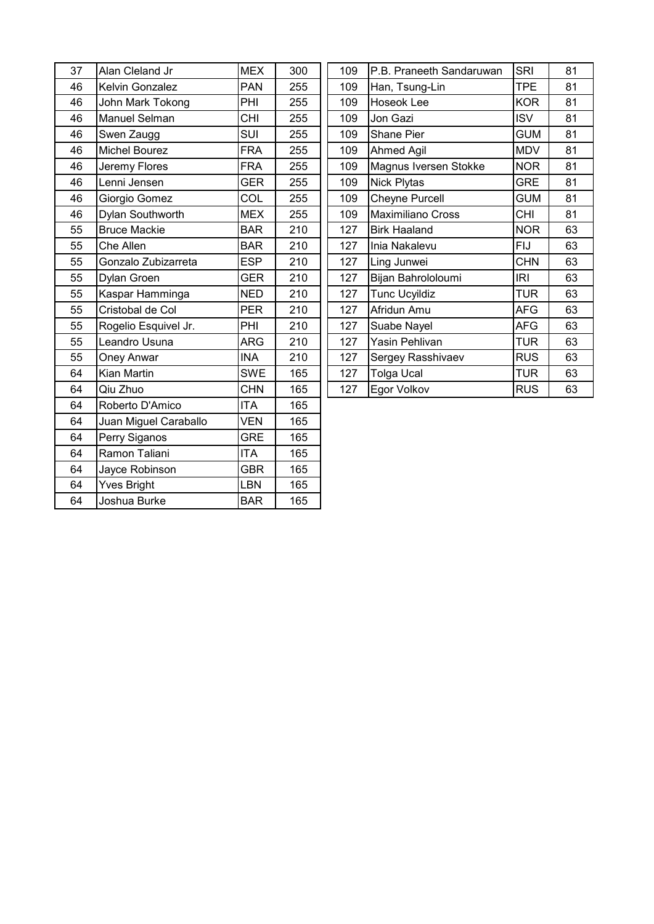| 37 | Alan Cleland Jr       | <b>MEX</b> | 300 | 109 | P.B. Praneeth Sandaruwan | <b>SRI</b> | 81 |
|----|-----------------------|------------|-----|-----|--------------------------|------------|----|
| 46 | Kelvin Gonzalez       | <b>PAN</b> | 255 | 109 | Han, Tsung-Lin           | <b>TPE</b> | 81 |
| 46 | John Mark Tokong      | PHI        | 255 | 109 | <b>Hoseok Lee</b>        | <b>KOR</b> | 81 |
| 46 | Manuel Selman         | <b>CHI</b> | 255 | 109 | Jon Gazi                 | <b>ISV</b> | 81 |
| 46 | Swen Zaugg            | <b>SUI</b> | 255 | 109 | Shane Pier               | <b>GUM</b> | 81 |
| 46 | Michel Bourez         | <b>FRA</b> | 255 | 109 | Ahmed Agil               | <b>MDV</b> | 81 |
| 46 | Jeremy Flores         | <b>FRA</b> | 255 | 109 | Magnus Iversen Stokke    | <b>NOR</b> | 81 |
| 46 | Lenni Jensen          | <b>GER</b> | 255 | 109 | <b>Nick Plytas</b>       | <b>GRE</b> | 81 |
| 46 | Giorgio Gomez         | COL        | 255 | 109 | <b>Cheyne Purcell</b>    | <b>GUM</b> | 81 |
| 46 | Dylan Southworth      | <b>MEX</b> | 255 | 109 | <b>Maximiliano Cross</b> | <b>CHI</b> | 81 |
| 55 | <b>Bruce Mackie</b>   | <b>BAR</b> | 210 | 127 | <b>Birk Haaland</b>      | <b>NOR</b> | 63 |
| 55 | Che Allen             | <b>BAR</b> | 210 | 127 | Inia Nakalevu            | <b>FIJ</b> | 63 |
| 55 | Gonzalo Zubizarreta   | <b>ESP</b> | 210 | 127 | Ling Junwei              | <b>CHN</b> | 63 |
| 55 | Dylan Groen           | <b>GER</b> | 210 | 127 | Bijan Bahrololoumi       | IRI        | 63 |
| 55 | Kaspar Hamminga       | <b>NED</b> | 210 | 127 | <b>Tunc Ucyildiz</b>     | <b>TUR</b> | 63 |
| 55 | Cristobal de Col      | <b>PER</b> | 210 | 127 | Afridun Amu              | <b>AFG</b> | 63 |
| 55 | Rogelio Esquivel Jr.  | PHI        | 210 | 127 | Suabe Nayel              | <b>AFG</b> | 63 |
| 55 | Leandro Usuna         | <b>ARG</b> | 210 | 127 | Yasin Pehlivan           | <b>TUR</b> | 63 |
| 55 | <b>Oney Anwar</b>     | <b>INA</b> | 210 | 127 | Sergey Rasshivaev        | <b>RUS</b> | 63 |
| 64 | Kian Martin           | <b>SWE</b> | 165 | 127 | <b>Tolga Ucal</b>        | <b>TUR</b> | 63 |
| 64 | Qiu Zhuo              | <b>CHN</b> | 165 | 127 | Egor Volkov              | <b>RUS</b> | 63 |
| 64 | Roberto D'Amico       | <b>ITA</b> | 165 |     |                          |            |    |
| 64 | Juan Miguel Caraballo | <b>VEN</b> | 165 |     |                          |            |    |
| 64 | Perry Siganos         | <b>GRE</b> | 165 |     |                          |            |    |
| 64 | Ramon Taliani         | <b>ITA</b> | 165 |     |                          |            |    |
| 64 | Jayce Robinson        | <b>GBR</b> | 165 |     |                          |            |    |
| 64 | <b>Yves Bright</b>    | LBN        | 165 |     |                          |            |    |
| 64 | Joshua Burke          | <b>BAR</b> | 165 |     |                          |            |    |
|    |                       |            |     |     |                          |            |    |

| 109 | P.B. Praneeth Sandaruwan | <b>SRI</b> | 81 |
|-----|--------------------------|------------|----|
| 109 | Han, Tsung-Lin           | TPE        | 81 |
| 109 | <b>Hoseok Lee</b>        | <b>KOR</b> | 81 |
| 109 | Jon Gazi                 | <b>ISV</b> | 81 |
| 109 | <b>Shane Pier</b>        | <b>GUM</b> | 81 |
| 109 | Ahmed Agil               | <b>MDV</b> | 81 |
| 109 | Magnus Iversen Stokke    | <b>NOR</b> | 81 |
| 109 | <b>Nick Plytas</b>       | <b>GRE</b> | 81 |
| 109 | Cheyne Purcell           | <b>GUM</b> | 81 |
| 109 | Maximiliano Cross        | <b>CHI</b> | 81 |
| 127 | <b>Birk Haaland</b>      | <b>NOR</b> | 63 |
| 127 | Inia Nakalevu            | <b>FIJ</b> | 63 |
| 127 | Ling Junwei              | <b>CHN</b> | 63 |
| 127 | Bijan Bahrololoumi       | <b>IRI</b> | 63 |
| 127 | <b>Tunc Ucyildiz</b>     | <b>TUR</b> | 63 |
| 127 | Afridun Amu              | <b>AFG</b> | 63 |
| 127 | Suabe Nayel              | <b>AFG</b> | 63 |
| 127 | Yasin Pehlivan           | <b>TUR</b> | 63 |
| 127 | Sergey Rasshivaev        | <b>RUS</b> | 63 |
| 127 | <b>Tolga Ucal</b>        | <b>TUR</b> | 63 |
| 127 | Egor Volkov              | <b>RUS</b> | 63 |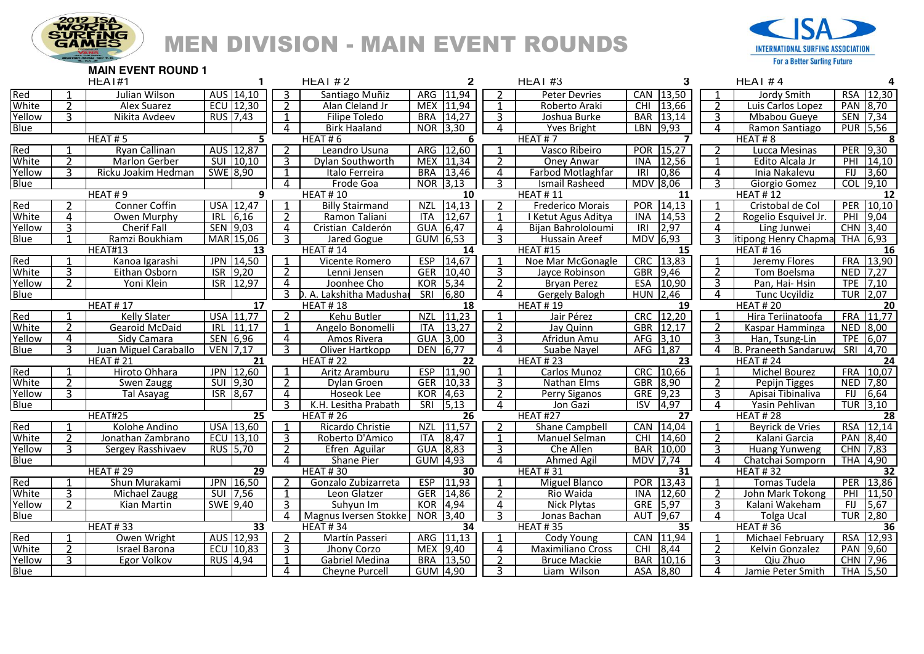

# **MEN DIVISION - MAIN EVENT ROUNDS**



| HLA1#1<br>$HLAI$ #2<br>HEAI#3<br>$\mathbf{z}$<br>3<br>п.                                                                                                                  | HLA1#4                                       |
|---------------------------------------------------------------------------------------------------------------------------------------------------------------------------|----------------------------------------------|
| Red<br>11,94<br>Julian Wilson<br>AUS 14,10<br>3<br>CAN<br>13,50<br>Santiago Muñiz<br>ARG<br>$\mathcal{P}$<br><b>Peter Devries</b>                                         | <b>RSA</b><br>12,30<br>Jordy Smith           |
| White<br>$ECU$ 12,30<br>Alan Cleland Jr<br><b>MEX</b><br>11.94<br><b>CHI</b><br>13,66<br>Alex Suarez<br>$\mathcal{P}$<br>Roberto Araki                                    | <b>PAN</b><br>8,70<br>Luis Carlos Lopez      |
| Yellow<br>RUS 7,43<br><b>BRA</b><br>14,27<br>13,14<br>3.<br>Nikita Avdeev<br>$\mathbf{1}$<br>Filipe Toledo<br>Joshua Burke<br><b>BAR</b><br>3<br>3                        | <b>SEN</b><br>7,34<br>Mbabou Gueye           |
| <b>Blue</b><br>3,30<br>4<br><b>LBN</b><br>9,93<br>4<br>4<br><b>Birk Haaland</b><br>NOR.<br><b>Yves Bright</b>                                                             | <b>PUR 5,56</b><br>Ramon Santiago            |
| HEAT#5<br>HEAT#6<br>HEAT#7<br>HEAT#8<br>5<br>6                                                                                                                            | 8                                            |
| Red<br>AUS 12,87<br>12,60<br>15,27<br>$\mathcal{D}$<br>ARG<br>Vasco Ribeiro<br><b>POR</b><br>$\mathcal{D}$<br><b>Rvan Callinan</b><br>Leandro Usuna<br>$\mathbf{1}$       | PER 9,30<br>Lucca Mesinas                    |
| White<br>SUI<br>Marlon Gerber<br>10,10<br>3<br><b>MEX</b><br>11,34<br>$\mathcal{P}$<br><b>INA</b><br>12,56<br>Dylan Southworth<br>Oney Anwar                              | PHI<br>14,10<br>Edito Alcala Jr              |
| Yellow<br>SWE 8,90<br><b>BRA</b><br>13,46<br>0,86<br>Ricku Joakim Hedman<br>Italo Ferreira<br>4<br>Farbod Motlaghfar<br>IRI<br>1<br>4                                     | <b>FIJ</b><br>3,60<br>Inja Nakalevu          |
| <b>Blue</b><br>NOR 3,13<br>3<br>MDV 8,06<br>3<br>4<br>Frode Goa<br><b>Ismail Rasheed</b>                                                                                  | 9,10<br>Giorgio Gomez<br><b>COL</b>          |
| HEAT#9<br>q<br><b>HEAT #10</b><br>10<br><b>HEAT#11</b><br>11<br><b>HEAT#12</b>                                                                                            | 12                                           |
| Red<br>USA 12,47<br>14,13<br>$\mathcal{P}$<br>14,13<br><b>Conner Coffin</b><br><b>Billy Stairmand</b><br><b>POR</b><br><b>NZL</b><br>Frederico Morais                     | PER 10,10<br>Cristobal de Col                |
| White<br>6,16<br>$\mathcal{P}$<br>Ramon Taliani<br>12,67<br>14,53<br>Owen Murphy<br><b>IRL</b><br>ITA<br>$\mathbf{1}$<br>I Ketut Agus Aditya<br>$\mathcal{P}$<br>4<br>INA | PHI<br>9,04<br>Rogelio Esquivel Jr.          |
| Yellow<br><b>Cherif Fall</b><br>SEN 9,03<br>4<br><b>GUA</b><br>6,47<br>IRI<br>2,97<br>ર<br>Cristian Calderón<br>4<br>Bijan Bahrololoumi<br>4                              | <b>CHN</b><br>3,40<br>Ling Junwei            |
| <b>Blue</b><br>6,53<br>6,93<br>Ramzi Boukhiam<br>MAR 15,06<br>3<br>Jared Gogue<br><b>GUM</b><br>3.<br><b>MDV</b><br>3<br>Hussain Areef                                    | <b>THA</b><br>6,93<br>itipong Henry Chapma   |
| HEAT#13<br><b>HEAT #14</b><br><b>HEAT #15</b><br><b>HEAT#16</b><br>13<br>14<br>15                                                                                         | 16                                           |
| Red<br>14,67<br>JPN 14,50<br><b>ESP</b><br>CRC 13,83<br>Kanoa Igarashi<br>Vicente Romero<br>$\mathbf 1$<br>Noe Mar McGonagle<br>1                                         | FRA 13,90<br>Jeremy Flores                   |
| White<br>9,20<br>$\mathcal{P}$<br>10,40<br>9,46<br>Eithan Osborn<br><b>ISR</b><br><b>GER</b><br>3<br><b>GBR</b><br>Jayce Robinson<br>Lenni Jensen                         | 7,27<br><b>NED</b><br>Tom Boelsma            |
| Yellow<br>ISR 12,97<br><b>KOR</b><br>5,34<br>$\mathcal{L}$<br><b>ESA</b><br>10,90<br>3<br>Yoni Klein<br>4<br>Joonhee Cho<br><b>Bryan Perez</b>                            | TPE 7,10<br>Pan, Hai-Hsin                    |
| <b>Blue</b><br>6,80<br>3.<br>SRI<br><b>HUN</b><br><b>D. A. Lakshitha Madushar</b><br>4<br>Gergely Balogh<br>2,46<br>4                                                     | TUR 2,07<br>Tunc Ucvildiz                    |
| <b>HEAT #17</b><br>$\overline{17}$<br><b>HEAT #18</b><br>18<br><b>HEAT #19</b><br>19<br><b>HEAT#20</b>                                                                    | 20                                           |
| Red<br>USA 11,77<br>2<br>11,23<br><b>CRC</b><br><b>Kelly Slater</b><br>Kehu Butler<br><b>NZL</b><br>Jair Pérez<br>12,20<br>$\mathbf 1$                                    | FRA 11,77<br>Hira Teriinatoofa               |
| White<br>IRL<br>11,17<br>13,27<br>$\overline{2}$<br><b>GBR</b><br>12,17<br>Gearoid McDaid<br>Angelo Bonomelli<br>ITA<br>1<br>Jay Quinn                                    | 8,00 <br>NED<br>Kaspar Hamminga              |
| Yellow<br>SEN 6,96<br>3,00<br>4<br>Amos Rivera<br><b>GUA</b><br>3<br>Afridun Amu<br>AFG<br>3,10<br>3<br>4<br>Sidy Camara                                                  | TPE 6,07<br>Han, Tsung-Lin                   |
| <b>Blue</b><br><b>VEN</b> 7,17<br>3<br><b>DEN</b><br>6,77<br>4<br><b>AFG</b><br>1,87<br>Juan Miguel Caraballo<br>Oliver Hartkopp<br>Suabe Nayel<br>4                      | SRI<br> 4,70 <br><b>B. Praneeth Sandaruw</b> |
| <b>HEAT #22</b><br><b>HEAT #23</b><br><b>HEAT#21</b><br>21<br>22<br>23<br><b>HEAT#24</b>                                                                                  | 24                                           |
| Red<br>JPN 12,60<br>ESP 11,90<br>CRC 10,66<br>Hiroto Ohhara<br>Aritz Aramburu<br>Carlos Munoz<br>$\mathbf 1$                                                              | FRA 10,07<br>Michel Bourez                   |
| White<br>SUI<br>9,30<br>10,33<br><b>GBR</b><br>8,90<br>$\mathcal{L}$<br><b>GER</b><br>3<br>Swen Zaugg<br>Dylan Groen<br>Nathan Elms                                       | <b>NED</b><br>7,80<br>Pepijn Tigges          |
| 9,23<br>Yellow<br> 8,67 <br><b>KOR</b><br>4,63<br>$\mathcal{P}$<br><b>GRE</b><br>3.<br><b>Tal Asayag</b><br><b>ISR</b><br>4<br>Hoseok Lee<br><b>Perry Siganos</b><br>3    | <b>FIJ</b><br>6,64<br>Apisai Tibinaliva      |
| <b>Blue</b><br>4,97<br>3<br>K.H. Lesitha Prabath<br>SRI<br>5.13<br>4<br><b>ISV</b><br>Jon Gazi<br>4                                                                       | TUR 3,10<br>Yasin Pehlivan                   |
| <b>HEAT #27</b><br>HEAT#25<br>25<br><b>HEAT #26</b><br>$\overline{26}$<br>$\overline{27}$<br><b>HEAT#28</b>                                                               | 28                                           |
| Red<br>11,57<br>USA 13,60<br>14,04<br>Kolohe Andino<br>Ricardo Christie<br><b>NZL</b><br>$\mathcal{P}$<br><b>Shane Campbell</b><br>CAN                                    | RSA 12,14<br>Beyrick de Vries                |
| <b>White</b><br>$\overline{ECU}$ 13,10<br>3<br><b>ITA</b><br>8,47<br><b>CHI</b><br>14,60<br>Jonathan Zambrano<br>Roberto D'Amico<br>$\mathbf{1}$<br>Manuel Selman         | PAN 8,40<br>Kalani Garcia                    |
| 8,83<br>Yellow<br>3<br>RUS 5.70<br>$\mathcal{L}$<br><b>GUA</b><br>3<br><b>BAR</b><br>10,00<br>ς<br>Sergey Rasshivaev<br>Efren Aguilar<br>Che Allen                        | CHN 7,83<br><b>Huang Yunweng</b>             |
| <b>Blue</b><br>$\overline{4,93}$<br><b>GUM</b><br>Ahmed Agil<br><b>MDV</b><br>7.74<br>4<br>4<br><b>Shane Pier</b><br>4                                                    | THA $\overline{4,90}$<br>Chatchai Somporn    |
| <b>HEAT #30</b><br><b>HEAT#31</b><br><b>HEAT#32</b><br><b>HEAT#29</b><br>29<br>30<br>31                                                                                   | 32                                           |
| Red<br>JPN 16,50<br>ESP 11,93<br><b>POR</b><br>Shun Murakami<br>Gonzalo Zubizarreta<br>13,43<br>Miguel Blanco<br>-1                                                       | PER 13,86<br>Tomas Tudela                    |
| White<br>14,86<br>12,60<br>SUI<br>7,56<br><b>Michael Zaugg</b><br><b>GER</b><br>$\mathcal{P}$<br>Rio Waida<br><b>INA</b><br>Leon Glatzer                                  | PHI 11,50<br>John Mark Tokong                |
| Yellow<br>3<br>SWE 9.40<br>Suhyun Im<br><b>KOR</b><br>4,94<br>4<br><b>GRE</b><br>5,97<br>3<br>Kian Martin<br>Nick Plytas                                                  | <b>FIJ</b><br>5.67<br>Kalani Wakeham         |
| 3,40<br>9,67<br><b>Blue</b><br>4<br>Magnus Iversen Stokke<br><b>NOR</b><br>3<br>AUT<br>Jonas Bachan<br>4                                                                  | <b>TUR 2,80</b><br><b>Tolga Ucal</b>         |
| <b>HEAT#33</b><br>33<br><b>HEAT#34</b><br><b>HEAT #35</b><br>35<br><b>HEAT#36</b><br>34                                                                                   | 36                                           |
| Red<br>Owen Wright<br>AUS 12,93<br>$\overline{2}$<br>ARG<br>11,13<br>$\mathbf{1}$<br>CAN<br>11,94<br>Martín Passeri<br>Cody Young                                         | <b>RSA</b><br>12,93<br>Michael February      |
| White<br>ECU 10,83<br>3<br><b>MEX</b><br>9,40<br><b>CHI</b><br>8.44<br>Israel Barona<br>Jhony Corzo<br>4<br><b>Maximiliano Cross</b>                                      | <b>PAN</b><br>9,60<br>Kelvin Gonzalez        |
| Yellow<br>3<br>RUS 4,94<br>13,50<br>10,16<br>Egor Volkov<br>$\mathbf{1}$<br>Gabriel Medina<br><b>BRA</b><br>$\mathcal{P}$<br><b>Bruce Mackie</b><br><b>BAR</b><br>3       | CHN 7,96<br>Qiu Zhuo                         |
| <b>Blue</b><br>4,90<br><b>ASA</b><br>8,80<br>4<br><b>GUM</b><br><b>Cheyne Purcell</b><br>Liam Wilson<br>4                                                                 | THA 5,50<br>Jamie Peter Smith                |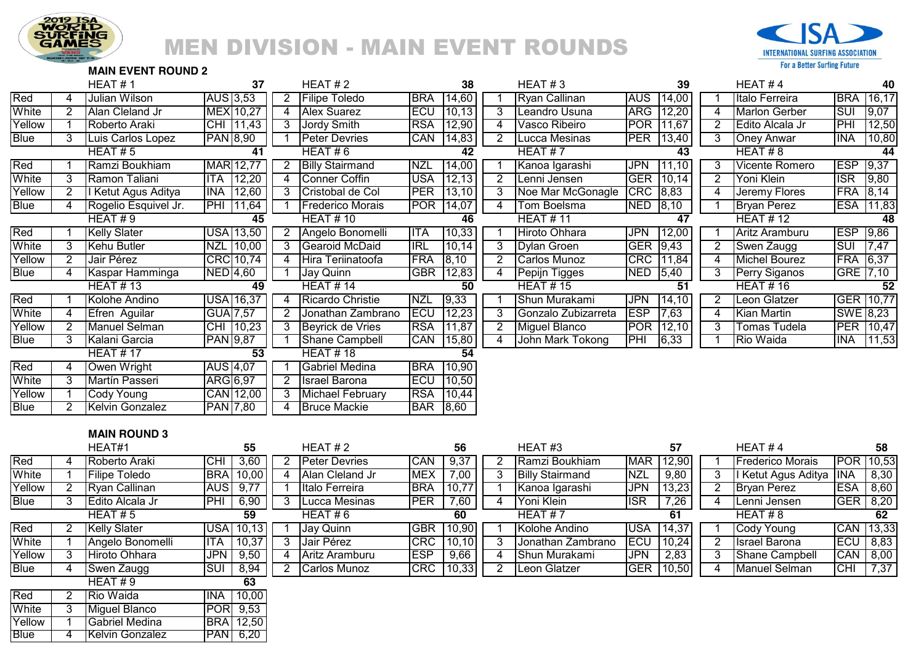

### MEN DIVISION - MAIN EVENT ROUNDS



|             |                | HEAT#1                 | 37                 |                | HEAT#2                  |                 | 38                |                | HEAT#3                 |                | 39        |                | HEAT#4                  |            | 40               |
|-------------|----------------|------------------------|--------------------|----------------|-------------------------|-----------------|-------------------|----------------|------------------------|----------------|-----------|----------------|-------------------------|------------|------------------|
| Red         | 4              | Julian Wilson          | AUS 3,53           | $\overline{2}$ | <b>Filipe Toledo</b>    | <b>BRA</b>      | 14,60             |                | Ryan Callinan          | <b>AUS</b>     | 14,00     |                | Italo Ferreira          | <b>BRA</b> | 16,17            |
| White       | $\overline{2}$ | Alan Cleland Jr        | MEX 10,27          | $\overline{4}$ | <b>Alex Suarez</b>      | <b>ECU</b>      | $\frac{1}{10,13}$ | $\overline{3}$ | Leandro Usuna          | <b>ARG</b>     | 12,20     | 4              | <b>Marlon Gerber</b>    | <b>SUI</b> | 9,07             |
| Yellow      | $\mathbf{1}$   | Roberto Araki          | CHI 11,43          | 3              | Jordy Smith             | <b>RSA</b>      | 12,90             | 4              | Vasco Ribeiro          |                | POR 11,67 | $\overline{2}$ | Edito Alcala Jr         | PHI        | 12,50            |
| <b>Blue</b> | 3              | Luis Carlos Lopez      | <b>PAN</b> 8,90    | $\mathbf 1$    | <b>Peter Devries</b>    | CAN             | 14,83             | $\overline{2}$ | Lucca Mesinas          | <b>PER</b>     | 13,40     | 3              | <b>Oney Anwar</b>       | <b>INA</b> | 10,80            |
|             |                | HEAT#5                 | 41                 |                | HEAT#6                  |                 | 42                |                | HEAT#7                 |                | 43        |                | HEAT#8                  |            | 44               |
| Red         | -1             | Ramzi Boukhiam         | MAR 12,77          | $\overline{2}$ | <b>Billy Stairmand</b>  | <b>NZL</b>      | 14,00             | $\mathbf 1$    | Kanoa Igarashi         | <b>JPN</b>     | 11,10     | 3              | Vicente Romero          |            | ESP 9,37         |
| White       | $\overline{3}$ | Ramon Taliani          | <b>ITA 12,20</b>   | $\overline{4}$ | Conner Coffin           | <b>USA</b>      | 12,13             | $\overline{2}$ | Lenni Jensen           |                | GER 10,14 | $\overline{2}$ | Yoni Klein              | <b>ISR</b> | 9,80             |
| Yellow      | $\overline{2}$ | I Ketut Agus Aditya    | INA 12,60          | 3              | Cristobal de Col        | PER 13,10       |                   | 3              | Noe Mar McGonagle      | <sub>CRC</sub> | 8,83      | 4              | <b>Jeremy Flores</b>    |            | FRA 8,14         |
| <b>Blue</b> | 4              | Rogelio Esquivel Jr.   | PHI 11,64          | $\mathbf 1$    | <b>Frederico Morais</b> | POR 14,07       |                   | 4              | Tom Boelsma            | <b>NED</b>     | 8, 10     | $\mathbf 1$    | <b>Bryan Perez</b>      |            | ESA 11,83        |
|             |                | HEAT#9                 | 45                 |                | <b>HEAT #10</b>         |                 | 46                |                | <b>HEAT #11</b>        |                | 47        |                | <b>HEAT #12</b>         |            | 48               |
| Red         |                | <b>Kelly Slater</b>    | USA 13,50          | $\overline{2}$ | Angelo Bonomelli        | <b>ITA</b>      | 10,33             |                | Hiroto Ohhara          | <b>JPN</b>     | 12,00     |                | Aritz Aramburu          |            | ESP 9,86         |
| White       | 3              | <b>Kehu Butler</b>     | NZL 10,00          | 3              | <b>Gearoid McDaid</b>   | <b>IRL</b>      | 10,14             | 3              | <b>Dylan Groen</b>     |                | GER 9,43  | $\overline{2}$ | Swen Zaugg              | <b>SUI</b> | 7,47             |
| Yellow      | $\overline{2}$ | Jair Pérez             | CRC 10,74          | 4              | Hira Teriinatoofa       | FRA             | 8, 10             | $\overline{2}$ | <b>Carlos Munoz</b>    | <b>CRC</b>     | 11,84     | 4              | Michel Bourez           |            | FRA 6,37         |
| <b>Blue</b> | 4              | Kaspar Hamminga        | $NED$ 4,60         | $\mathbf 1$    | Jay Quinn               |                 | GBR 12,83         | $\overline{4}$ | Pepijn Tigges          | <b>NED</b>     | 5,40      | 3              | <b>Perry Siganos</b>    | <b>GRE</b> | 7,10             |
|             |                | <b>HEAT #13</b>        | 49                 |                | <b>HEAT #14</b>         |                 | 50                |                | <b>HEAT #15</b>        |                | 51        |                | <b>HEAT #16</b>         |            | 52               |
| Red         | -1             | Kolohe Andino          | USA 16,37          | 4              | Ricardo Christie        | <b>NZL</b>      | 9,33              | $\mathbf 1$    | Shun Murakami          | <b>JPN</b>     | 14, 10    | $\overline{2}$ | Leon Glatzer            |            | GER 10,77        |
| White       | 4              | Efren Aguilar          | <b>GUA 7,57</b>    | $\overline{2}$ | Jonathan Zambrano       | <b>ECU</b>      | 12,23             | 3              | Gonzalo Zubizarreta    | <b>ESP</b>     | 7,63      | $\overline{4}$ | <b>Kian Martin</b>      |            | SWE 8,23         |
| Yellow      | $\overline{2}$ | <b>Manuel Selman</b>   | CHI 10,23          | 3              | Beyrick de Vries        | <b>RSA</b>      | 11,87             | $\overline{2}$ | <b>Miguel Blanco</b>   | <b>POR</b>     | 12,10     | 3              | <b>Tomas Tudela</b>     |            | PER 10,47        |
| <b>Blue</b> | $\overline{3}$ | Kalani Garcia          | <b>PAN</b> 9,87    | $\mathbf 1$    | <b>Shane Campbell</b>   |                 | CAN 15,80         | 4              | John Mark Tokong       | <b>TPHT</b>    | 6,33      |                | Rio Waida               |            | INA 11,53        |
|             |                | <b>HEAT #17</b>        | 53                 |                | <b>HEAT #18</b>         |                 | 54                |                |                        |                |           |                |                         |            |                  |
| Red         | 4              | Owen Wright            | <b>AUS</b> 4,07    |                | <b>Gabriel Medina</b>   | <b>BRA</b>      | 10,90             |                |                        |                |           |                |                         |            |                  |
| White       | $\overline{3}$ | Martín Passeri         | ARG 6,97           | $\overline{2}$ | <b>Israel Barona</b>    | <b>IECU</b>     | 10,50             |                |                        |                |           |                |                         |            |                  |
| Yellow      | $\mathbf{1}$   | <b>Cody Young</b>      | CAN 12,00          | 3              | <b>Michael February</b> | <b>RSA</b>      | 10,44             |                |                        |                |           |                |                         |            |                  |
| <b>Blue</b> | $\overline{2}$ | Kelvin Gonzalez        | <b>PAN</b> 7,80    | $\overline{4}$ | <b>Bruce Mackie</b>     | <b>BAR</b> 8,60 |                   |                |                        |                |           |                |                         |            |                  |
|             |                |                        |                    |                |                         |                 |                   |                |                        |                |           |                |                         |            |                  |
|             |                | <b>MAIN ROUND 3</b>    |                    |                |                         |                 |                   |                |                        |                |           |                |                         |            |                  |
|             |                | HEAT#1                 | 55                 |                | HEAT#2                  |                 | 56                |                | HEAT#3                 |                | 57        |                | HEAT#4                  |            | 58               |
| Red         | 4              | Roberto Araki          | 3,60<br><b>CHI</b> | $\overline{2}$ | <b>Peter Devries</b>    | <b>CAN</b>      | 9,37              | $\overline{2}$ | Ramzi Boukhiam         | <b>MAR</b>     | 12,90     |                | <b>Frederico Morais</b> |            | <b>POR 10,53</b> |
| White       | -1             | <b>Filipe Toledo</b>   | <b>BRA</b> 10,00   | 4              | Alan Cleland Jr         | <b>MEX</b>      | 7,00              | 3              | <b>Billy Stairmand</b> | <b>NZL</b>     | 9,80      | 3              | I Ketut Agus Aditya     | <b>INA</b> | 8,30             |
| Yellow      | 2              | Ryan Callinan          | <b>AUS</b><br>9,77 | $\mathbf 1$    | Italo Ferreira          | <b>BRA</b>      | 10,77             | $\mathbf{1}$   | Kanoa Igarashi         | <b>JPN</b>     | 13,23     | $\overline{2}$ | <b>Bryan Perez</b>      | <b>ESA</b> | 8,60             |
| Blue        | 3              | Edito Alcala Jr        | <b>PHI</b><br>6,90 | 3              | Lucca Mesinas           | <b>PER</b>      | 7,60              | $\overline{4}$ | Yoni Klein             | <b>ISR</b>     | 7,26      | 4              | Lenni Jensen            | <b>GER</b> | 8,20             |
|             |                | HEAT#5                 | 59                 |                | HEAT#6                  |                 | 60                |                | HEAT#7                 |                | 61        |                | HEAT#8                  |            | 62               |
| Red         | $\overline{2}$ | <b>Kelly Slater</b>    | USA 10,13          | $\overline{1}$ | Jay Quinn               | <b>GBR</b>      | 10,90             |                | Kolohe Andino          | <b>USA</b>     | 14,37     |                | Cody Young              |            | CAN 13,33        |
| White       | $\mathbf{1}$   | Angelo Bonomelli       | 10,37<br>ITA       | 3              | Jair Pérez              | <b>CRC</b>      | 10, 10            | 3              | Jonathan Zambrano      | <b>ECU</b>     | 10,24     | $\overline{2}$ | <b>Israel Barona</b>    |            | <b>ECU</b> 8,83  |
| Yellow      | 3              | Hiroto Ohhara          | <b>JPN</b><br>9,50 | 4              | <b>Aritz Aramburu</b>   | <b>ESP</b>      | 9,66              | 4              | Shun Murakami          | <b>JPN</b>     | 2,83      | 3              | <b>Shane Campbell</b>   |            | CAN 8,00         |
| <b>Blue</b> | $\overline{4}$ | Swen Zaugg             | 8,94<br>ISUI I     | 2              | <b>Carlos Munoz</b>     | <b>CRC</b>      | 10,33             | $\overline{2}$ | Leon Glatzer           | <b>GER</b>     | 10,50     | $\overline{4}$ | Manuel Selman           | <b>CHI</b> | 7,37             |
|             |                | HEAT#9                 | $\overline{63}$    |                |                         |                 |                   |                |                        |                |           |                |                         |            |                  |
| Red         | $\overline{2}$ | <b>Rio Waida</b>       | INA 10,00          |                |                         |                 |                   |                |                        |                |           |                |                         |            |                  |
| White       | $\overline{3}$ | <b>Miguel Blanco</b>   | POR 9,53           |                |                         |                 |                   |                |                        |                |           |                |                         |            |                  |
| Yellow      | 1              | <b>Gabriel Medina</b>  | <b>BRA</b> 12,50   |                |                         |                 |                   |                |                        |                |           |                |                         |            |                  |
| <b>Blue</b> | 4              | <b>Kelvin Gonzalez</b> | PAN 6,20           |                |                         |                 |                   |                |                        |                |           |                |                         |            |                  |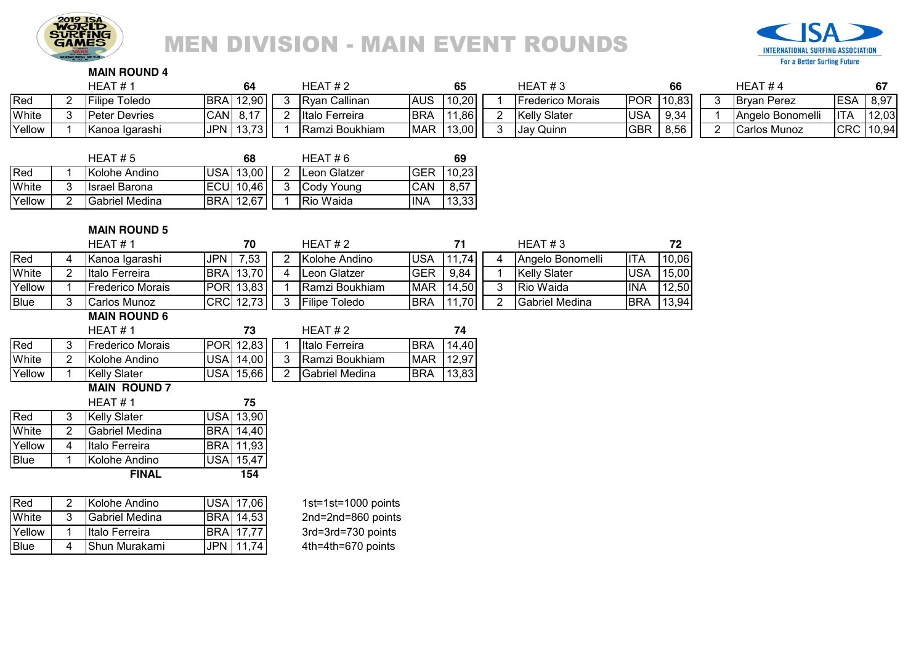

### MEN DIVISION - MAIN EVENT ROUNDS



#### **MAIN ROUND 4**

|        | HEAT $# 1$ |                       |            |                | HEAT#2               | ხ5          |       | HEAT#3 |                         | 66          |       | HEAT #4 |                          | 67          |       |
|--------|------------|-----------------------|------------|----------------|----------------------|-------------|-------|--------|-------------------------|-------------|-------|---------|--------------------------|-------------|-------|
| Red    |            | <b>Filipe Toledo</b>  | 'BRA       | 12,90          | <b>Ryan Callinan</b> | <b>AUS</b>  | 10,20 |        | <b>Frederico Morais</b> | <b>IPOR</b> | 10,83 |         | <b>IBrvan Perez</b>      | 'ESA        | 8,97  |
| White  |            | <b>IPeter Devries</b> | <b>CAN</b> |                | Iltalo Ferreira      | <b>IBRA</b> | '86.، |        | <b>Kelly Slater</b>     | <b>USA</b>  | 9,34  |         | <b>IAngelo Bonomelli</b> | <b>ITA</b>  | 12,03 |
| Yellow |            | Kanoa Igarashi        | <b>JPN</b> | 1373<br>10,70T | Ramzi Boukhiam       | <b>MAR</b>  | 13,00 |        | Jay Quinn               | <b>GBR</b>  | 8,56  |         | Carlos Munoz             | <b>ICRC</b> | 10,94 |

|              | HEAT # $5$             |             | 68         |   | HEAT#6       |            | 69    |
|--------------|------------------------|-------------|------------|---|--------------|------------|-------|
| Red          | <b>I</b> Kolohe Andino |             | USA  13,00 |   | Leon Glatzer | ıGER       | 10,23 |
| <b>White</b> | Ilsrael Barona         |             | ECU 10,46  | 3 | Cody Young   | CAN        | 8,57  |
| Yellow       | Gabriel Medina         | <b>BRAI</b> | 12,67      |   | 'Rio Waida   | <b>INA</b> | 13,33 |

#### **MAIN ROUND 5**

|        |   | HEAT#1                  |            | 70               |   | HEAT#2                |            | 71    |   | HEAT#3                |            | 72    |
|--------|---|-------------------------|------------|------------------|---|-----------------------|------------|-------|---|-----------------------|------------|-------|
| Red    | 4 | Kanoa Igarashi          | <b>JPN</b> | 7,53             | 2 | Kolohe Andino         | <b>USA</b> | 11,74 | 4 | Angelo Bonomelli      | <b>ITA</b> | 10,06 |
| White  | 2 | Italo Ferreira          | <b>BRA</b> | 13,70            | 4 | Leon Glatzer          | <b>GER</b> | 9,84  |   | <b>Kelly Slater</b>   | USA        | 15,00 |
| Yellow |   | Frederico Morais        |            | POR 13,83        |   | Ramzi Boukhiam        | <b>MAR</b> | 14,50 | 3 | Rio Waida             | <b>INA</b> | 12,50 |
| Blue   | 3 | Carlos Munoz            |            | CRC 12,73        | 3 | Filipe Toledo         | <b>BRA</b> | 11,70 | 2 | <b>Gabriel Medina</b> | <b>BRA</b> | 13,94 |
|        |   | <b>MAIN ROUND 6</b>     |            |                  |   |                       |            |       |   |                       |            |       |
|        |   | HEAT#1                  |            | 73               |   | HEAT # 2              |            | 74    |   |                       |            |       |
| Red    | 3 | <b>Frederico Morais</b> |            | <b>POR</b> 12,83 |   | Italo Ferreira        | <b>BRA</b> | 14,40 |   |                       |            |       |
| White  | 2 | <b>I</b> Kolohe Andino  | <b>USA</b> | 14,00            | 3 | Ramzi Boukhiam        | <b>MAR</b> | 12,97 |   |                       |            |       |
| Yellow |   | <b>Kelly Slater</b>     |            | USA 15,66        | 2 | <b>Gabriel Medina</b> | <b>BRA</b> | 13,83 |   |                       |            |       |
|        |   | <b>MAIN ROUND 7</b>     |            |                  |   |                       |            |       |   |                       |            |       |
|        |   | HEAT #1                 |            | 75               |   |                       |            |       |   |                       |            |       |
| Red    | 3 | <b>Kelly Slater</b>     |            | USA 13,90        |   |                       |            |       |   |                       |            |       |
|        |   |                         |            |                  |   |                       |            |       |   |                       |            |       |

|        | <b>FINAL</b>   | 154              |
|--------|----------------|------------------|
| Blue   | Kolohe Andino  | <b>USA</b> 15,47 |
| Yellow | Italo Ferreira | <b>BRA</b> 11,93 |
| White  | Gabriel Medina | <b>BRA</b> 14,40 |
|        |                |                  |

| Red    | Kolohe Andino          | USA  17,06   |
|--------|------------------------|--------------|
| White  | Gabriel Medina         | BRA  14,53   |
| Yellow | Italo Ferreira         | IBRAI 17.771 |
| Blue   | <b>I</b> Shun Murakami | 11 74        |

1 st=1st=1000 points 2nd=2nd=860 points 3rd=3rd=730 points 4th=4th=670 points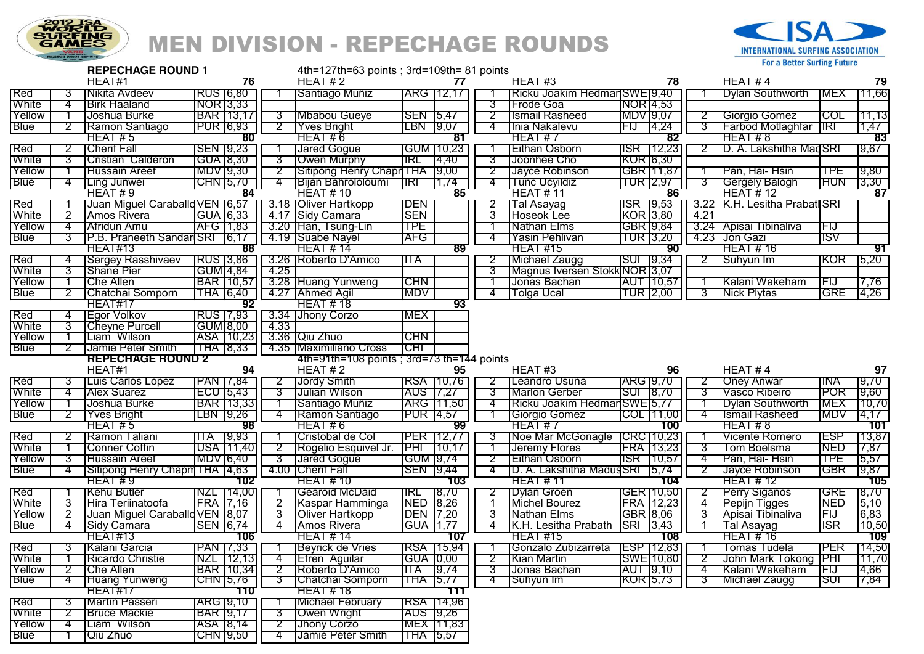

### MEN DIVISION - REPECHAGE ROUNDS



|                            |                         | <b>REPECHAGE ROUND 1</b>        |                              |        | $4th=127th=63$ points; $3rd=109th=81$ points            |                  |                     |                |                                |                              |                | For a Better Surfing Future    |             |                |
|----------------------------|-------------------------|---------------------------------|------------------------------|--------|---------------------------------------------------------|------------------|---------------------|----------------|--------------------------------|------------------------------|----------------|--------------------------------|-------------|----------------|
|                            | HLA1#1                  |                                 | 76                           |        | $HLAI$ #2                                               |                  | 77                  |                | HEAI#3                         | 78                           |                | $HLAI$ #4                      |             | 79             |
| Red<br>3                   | Nikita Avdeev           |                                 | IRUS 16,80                   |        | Santiago Muñiz                                          |                  | ARG  12,17          |                | Ricku Joakim HedmartSWE19,40   |                              |                | Dylan Southworth               | <b>IMEX</b> | 11,66          |
| White<br>4                 | <b>Birk Haaland</b>     |                                 | <b>NOR 3,33</b>              |        |                                                         |                  |                     | 3              | <b>Frode Goa</b>               | NOR 4,53                     |                |                                |             |                |
| Yellow                     | Joshua Burke            |                                 | <b>BAR 13,17</b>             | 3.     | Mbabou Gueye                                            | <b>SEN 15,47</b> |                     | $\overline{2}$ | <b>Ismail Rasheed</b>          | MDV19,07                     | $\overline{2}$ | Giorgio Gomez                  | <b>COL</b>  | [11,13]        |
| 2<br><b>Blue</b>           |                         | Ramon Santiago                  | <b>PUR 6,93</b>              | 2      | <b>Yves Bright</b>                                      | LBN              | 19,07               | 4              | Inia Nakalevu                  | 14,24<br>FIJ                 | 3              | <b>Farbod Motlaghfar IRI</b>   |             | 1,47           |
|                            | HEAT#5                  |                                 | 80                           |        | HEAT#6                                                  |                  | 81                  |                | HEAT # 7                       | 82                           |                | HEAT#8                         |             | 83             |
| Red                        | <b>Cherif Fall</b>      |                                 | SEN 19,23                    |        | Jared Gogue                                             |                  | GUM   10,23         |                | Eithan Osborn                  | 112,23<br>ISR                | 2              | D. A. Lakshitha MadSRI         |             | 9,67           |
| 3<br><b>White</b>          |                         | Cristian Calderón               | GUA 8,30                     | 3      | Owen Murphy                                             | IRL              | 14,40               |                | Joonhee Cho                    | KOR 6,30                     |                |                                |             |                |
| Yellow                     | <b>Hussain Areef</b>    |                                 | MDV 9,30                     | 2      | Sitipong Henry ChapriTHA                                |                  | 9,00                | 2              | Jayce Robinson                 | GBR 11,87                    |                | Pan, Hai-Hsin                  | TPE         | $ 9,80\rangle$ |
| <b>Blue</b><br>4           | Ling Junwei             |                                 | CHN 5,70                     | 4      | <b>Bijan Bahrololoumi</b>                               | πिरा             | 1,74                | 4              | <b>Tunc Ucyildiz</b>           | TUR 12,97                    | 3              | Gergely Balogh                 | <b>HUN</b>  | 13,30          |
|                            | HEAT#9                  |                                 | 84                           |        | HEA1#10                                                 |                  | 85                  |                | <b>HEAT#11</b>                 | -86                          |                | HEAT#12                        |             | 87             |
| Red                        |                         | Juan Miguel Caraballd VEN [6,57 |                              |        | 3.18 Oliver Hartkopp                                    | IDEN             |                     | 2              | Tal Asayag                     | ISR 19,53                    |                | 3.22 JK.H. Lesitha Prabati SRI |             |                |
| White<br>2                 | Amos Rivera             |                                 | <b>IGUA 16,33</b>            |        | 4.17 Sidy Camara                                        | ISEN             |                     | 3              | <b>Hoseok Lee</b>              | KOR 3,80                     | 4.21           |                                |             |                |
| 4<br>Yellow                | Afridun Amu             |                                 | AFG 11,83                    |        | 3.20 Han, Tsung-Lin                                     | <b>TPE</b>       |                     |                | Nathan Elms                    | GBR 19,84                    |                | 3.24 Apisai Tibinaliva         | ∣FIJ        |                |
| <b>Blue</b><br>3           |                         | P.B. Praneeth Sandar SRI        | $\sqrt{6,17}$                |        | 4.19 Suabe Nayel                                        | AFG              |                     | 4              | Yasin Pehlivan                 | TUR 13,20                    |                | 4.23 Jon Gazi                  | ∏SV         |                |
|                            | HEAT#13                 |                                 | 88                           |        | HEAT # 14                                               |                  | 89                  |                | HEAT #15                       | 90                           |                | HEAT#16                        |             | 91             |
| Red<br>4                   |                         | <b>Sergey Rasshivaev</b>        | <b>TRUS 3,86</b>             |        | 3.26   Roberto D'Amico                                  | ITA              |                     |                | Michael Zaugg                  | SUI 19,34                    | 2              | Suhyun Im                      | <b>KOR</b>  | 15,20          |
| <b>White</b><br>3          | Shane Pier              |                                 | GUM 4,84                     | 4.25   |                                                         |                  |                     | 3              | Magnus Iversen Stokk NOR 3,07  |                              |                |                                |             |                |
| Yellow                     | <b>Che Allen</b>        |                                 | <b>BAR 10,57</b>             |        | 3.28 Huang Yunweng                                      | <b>CHN</b>       |                     |                | Jonas Bachan                   | AUT 10,57                    |                | IKalani Wakeham                | l⊦n         | 7,76           |
| <b>Blue</b><br>2           |                         | Chatchai Somporn                | THA 6,40                     |        | 4.27 Ahmed Agil                                         | MDV              |                     | 4              | <b>Tolga Ucal</b>              | TUR 12,00                    | 3              | <b>Nick Plytas</b>             | <b>GRE</b>  | 4,26           |
|                            | HEAT#17                 |                                 | '92                          |        | HEAT#18                                                 |                  | 93                  |                |                                |                              |                |                                |             |                |
| Red<br>4                   | Egor Volkov             |                                 | RUS  7,93                    |        | 3.34 Jhony Corzo                                        | MEX              |                     |                |                                |                              |                |                                |             |                |
| White<br>3                 |                         | <b>Cheyne Purcell</b>           | GUM 8,00                     | 4.33   |                                                         |                  |                     |                |                                |                              |                |                                |             |                |
| Yellow                     | Liam Wilson             |                                 | ASA 10,23                    |        | 3.36   Qiu Zhuo                                         | <b>CHN</b>       |                     |                |                                |                              |                |                                |             |                |
| <b>Blue</b>                |                         | Jamie Peter Smith               | THA 8,33                     |        | 4.35 Maximiliano Cross                                  | <b>CHI</b>       |                     |                |                                |                              |                |                                |             |                |
|                            |                         |                                 |                              |        |                                                         |                  |                     |                |                                |                              |                |                                |             |                |
|                            |                         |                                 |                              |        |                                                         |                  |                     |                |                                |                              |                |                                |             |                |
|                            | HEAT#1                  | <b>REPECHAGE ROUND 2</b>        | 94                           |        | $4th=91th=108$ points; $3rd=73$ th=144 points<br>HEAT#2 |                  | 95                  |                | HEAT#3                         | 96                           |                | HEAT#4                         |             | 97             |
| Red<br>3                   |                         | Luis Carlos Lopez               |                              | 2      | Jordy Smith                                             |                  |                     |                | Leandro Usuna                  | ARG 0,70                     | 2              | Oney Anwar                     | <b>TINA</b> | 9,70           |
| White<br>4                 | <b>Alex Suarez</b>      |                                 | <b>PAN 17,84</b><br>ECU 5,43 | 3      | Uulian Wilson                                           | <b>AUS</b>       | RSA  10,76<br>17,27 | 3              | <b>Marlon Gerber</b>           | isui<br>18,70                | 3              | Vasco Ribeiro                  | POR         | 19,60          |
| Yellow                     | Joshua Burke            |                                 | BAR 13,33                    |        | Santiago Muñiz                                          |                  | ARG 11,50           | 4              | Ricku Joakim Hedmar[SWE]5,77   |                              |                | <b>IDylan Southworth</b>       | IMEX        | 110,70         |
| <b>Blue</b><br>2           | <b>Yves Bright</b>      |                                 | LBN 19,26                    | 4      | Ramon Santiago                                          | <b>PUR 4,57</b>  |                     |                | Giorgio Gomez                  | COL 11,00                    | 4              | Ismail Rasheed                 | IMDV        | 4,17           |
|                            | HEAT#5                  |                                 | 98                           |        | HEAT#6                                                  |                  | 99                  |                | HEAT # 7                       | 100                          |                | HEAT#8                         |             | 101            |
| Red<br>2                   | Ramon Taliani           |                                 | 9,93 <br>IITA I              |        | Cristobal de Col                                        |                  | <b>IPER 12,77</b>   | 3              | Noe Mar McGonagle [CRC [10,23] |                              |                | Vicente Romero                 | IESP        | 13,87          |
| White                      | <b>Conner Coffin</b>    |                                 | USA 11,40                    | 2      | Rogelio Esquivel Jr.                                    | <b>TPHI</b>      | 110, 17             |                | Jeremy Flores                  | FRA 13,23                    | 3              | Tom Boelsma                    | <b>INED</b> | 7,87           |
| 3<br><b>Yellow</b>         | Hussain Areef           |                                 | MDV  6,40                    | 3      | Jared Gogue                                             |                  |                     | 2              | <b>Eithan Osborn</b>           | ISR<br>110,57                | 4              | Pan, Hai- Hsin                 | TPE         | 5,57           |
| <b>Blue</b><br>4           |                         | Sitipong Henry Chapm THA 14,63  |                              |        | 4.00 Cherif Fall                                        | SEN 19,44        |                     | 4              | D. A. Lakshitha Madus SRI      | 15,74                        |                | Jayce Robinson                 | <b>GBR</b>  | 9,87           |
|                            | HEAT#9                  |                                 | 102                          |        | HEAT # 10                                               |                  | 103                 |                | <b>HEAT # 11</b>               | 104                          |                | HEAT # 12                      |             | 105            |
| Red                        | <b>Kehu Butler</b>      |                                 | NZL 14,00                    |        | Gearoid McDaid                                          | IIRL             | 18,70               | $\overline{2}$ | <b>IDylan Groen</b>            | GER 10,50                    | 2              | <b>Perry Siganos</b>           | <b>GRE</b>  | 8,70           |
| White<br>3                 |                         | Hira Teriinatoofa               | FRA 17,16                    | 2      | Kaspar Hamminga                                         | NED 18,26        |                     |                | Michel Bourez                  | FRA 12,23                    | 4              | Pepijn Tigges                  | NED         | 15,10          |
| Yellow<br>2                |                         | Juan Miguel Caraballd VEN [8,07 |                              | 3      | <b>Oliver Hartkopp</b>                                  | IDEN 17,20       |                     | 3              | Nathan Elms                    | GBR 8,06                     | 3              | Apisai Tibinaliva              | IFIJ        | 6,83           |
| <b>Blue</b><br>4           | Sidy Camara             |                                 | SEN 6,74                     | 4      | Amos Rivera                                             | GUA 1,77         |                     | 4              | K.H. Lesitha Prabath           | <b>SRI</b><br>$ 3,43\rangle$ |                | Tal Asayag                     | IISR        | 10,50          |
|                            | HEAT#13                 |                                 | 106                          |        | HEAT#14                                                 |                  | 107                 |                | HEAT #15                       | 108                          |                | HEAT # 16                      |             | 109            |
| Red<br>3                   | Kalani Garcia           |                                 | [PAN  7,33                   |        | Beyrick de Vries                                        |                  | RSA  15,94          |                | Gonzalo Zubizarreta            | [ESP   12,83]                |                | Tomas Tudela                   | <b>IPER</b> | 14,50          |
| <b>White</b>               |                         | Ricardo Christie                | NZL 12,13                    | 4      | <b>Efren Aguilar</b>                                    | GUA 0,00         |                     |                | Kian Martin                    | SWE 10,80                    | 2              | John Mark Tokong PHI           |             | [11, 70]       |
| Yellow<br>$\overline{2}$   | Che Allen               |                                 | <b>BAR 10,34</b>             | 2.     | Roberto D'Amico                                         | IITA.            | 19,74               | 3              | Uonas Bachan                   | AUT 9,10                     | 4              | Kalani Wakeham                 | IFIJ        | 14,66          |
| <b>Blue</b><br>4           |                         | Huang Yunweng                   | $CHN$ 5,76                   | 3      | Chatchal Somporn                                        | IHA  5,77        |                     | 4              | Sunyun Im                      | $KOR$ 5,73                   | 3              | Michael Zaugg                  | sur         | 7,84           |
|                            | HEA1#17                 |                                 | 110                          |        | HEAT#18                                                 |                  | זור                 |                |                                |                              |                |                                |             |                |
| Rea<br>3                   |                         | <b>Martin Passeri</b>           |                              |        | <b>Michael February</b>                                 |                  | RSA  14,96          |                |                                |                              |                |                                |             |                |
| White<br>2                 | <b>Bruce Mackie</b>     |                                 | <b>BAR</b> 9,17              | 3      | <b>Owen Wright</b>                                      |                  |                     |                |                                |                              |                |                                |             |                |
| Yellow<br>4<br><b>Blue</b> | Liam Wilson<br>Qiu Zhuo |                                 | ASA 8,14<br>CHN 9,50         | 2<br>4 | <b>Jhony Corzo</b><br>Jamie Peter Smith                 | $THA$ 5,57       | MEX 11,83           |                |                                |                              |                |                                |             |                |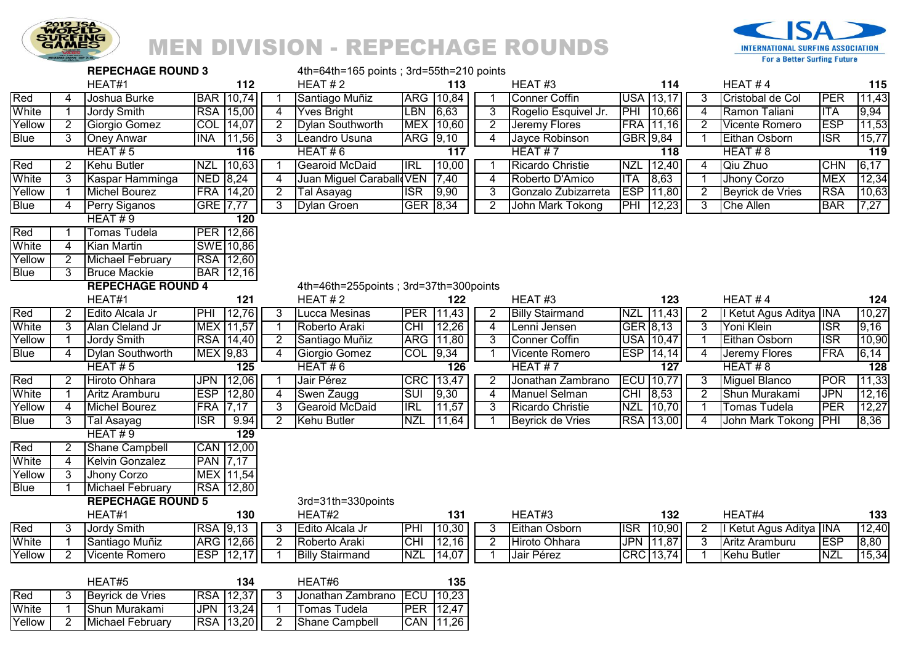

### MEN DIVISION - REPECHAGE ROUNDS



|             |                | <b>REPECHAGE ROUND 3</b> |                 |                  | $4th=64th=165$ points; 3rd=55th=210 points |                                        |            |           |                |                         |            |                  |                |                         |            |                    |
|-------------|----------------|--------------------------|-----------------|------------------|--------------------------------------------|----------------------------------------|------------|-----------|----------------|-------------------------|------------|------------------|----------------|-------------------------|------------|--------------------|
|             |                | HEAT#1                   |                 | 112              |                                            | HEAT#2                                 |            | 113       |                | HEAT#3                  |            | 114              |                | HEAT#4                  |            | 115                |
| Red         | 4              | Joshua Burke             |                 | <b>BAR 10,74</b> |                                            | Santiago Muñiz                         |            | ARG 10,84 |                | <b>Conner Coffin</b>    |            | <b>USA 13,17</b> | 3              | Cristobal de Col        | <b>PER</b> | 11,43              |
| White       | $\mathbf{1}$   | <b>Jordy Smith</b>       | <b>RSA</b>      | 15,00            | 4                                          | <b>Yves Bright</b>                     | LBN        | 6,63      | 3              | Rogelio Esquivel Jr.    | PHI        | 10,66            | 4              | Ramon Taliani           | <b>ITA</b> | 9,94               |
| Yellow      | $\overline{2}$ | Giorgio Gomez            | <b>COL</b>      | 14,07            | $\overline{2}$                             | Dylan Southworth                       | MEX 10,60  |           | $\overline{2}$ | Jeremy Flores           |            | FRA 11,16        | $\overline{2}$ | Vicente Romero          | <b>ESP</b> | 11,53              |
| <b>Blue</b> | 3              | <b>Oney Anwar</b>        | INA             | 11,56            | $\overline{3}$                             | Leandro Usuna                          | ARG 9,10   |           | $\overline{4}$ | Jayce Robinson          |            | GBR 9,84         |                | Eithan Osborn           | <b>ISR</b> | 15,77              |
|             |                | HEAT#5                   |                 | 116              |                                            | HEAT#6                                 |            | 117       |                | HEAT#7                  |            | 118              |                | HEAT#8                  |            | 119                |
| Red         | $\overline{2}$ | <b>Kehu Butler</b>       | <b>NZL</b>      | 10,63            |                                            | <b>Gearoid McDaid</b>                  | <b>IRL</b> | 10,00     |                | Ricardo Christie        |            | NZL 12,40        | $\overline{4}$ | Qiu Zhuo                | <b>CHN</b> | 6,17               |
| White       | 3              | Kaspar Hamminga          | NED 8,24        |                  | 4                                          | Juan Miguel Caraball VEN               |            | 7,40      | 4              | Roberto D'Amico         | <b>ITA</b> | 8,63             | $\mathbf 1$    | Jhony Corzo             | <b>MEX</b> | 12,34              |
| Yellow      | $\mathbf{1}$   | <b>Michel Bourez</b>     | <b>FRA</b>      | 14,20            | $\overline{2}$                             | Tal Asayag                             | <b>ISR</b> | 9,90      | 3              | Gonzalo Zubizarreta     |            | ESP 11,80        | $\overline{2}$ | Beyrick de Vries        | <b>RSA</b> | 10,63              |
| <b>Blue</b> | $\overline{4}$ | <b>Perry Siganos</b>     | <b>GRE</b>      | 7,77             | 3                                          | <b>Dylan Groen</b>                     | GER 8,34   |           | $\overline{2}$ | John Mark Tokong        | PHI        | 12,23            | 3              | <b>Che Allen</b>        | <b>BAR</b> | 7,27               |
|             |                | HEAT#9                   |                 | 120              |                                            |                                        |            |           |                |                         |            |                  |                |                         |            |                    |
| Red         | -1             | <b>Tomas Tudela</b>      |                 | <b>PER 12,66</b> |                                            |                                        |            |           |                |                         |            |                  |                |                         |            |                    |
| White       | 4              | <b>Kian Martin</b>       |                 | SWE 10,86        |                                            |                                        |            |           |                |                         |            |                  |                |                         |            |                    |
| Yellow      | $\overline{2}$ | <b>Michael February</b>  | <b>RSA</b>      | 12,60            |                                            |                                        |            |           |                |                         |            |                  |                |                         |            |                    |
| <b>Blue</b> | 3              | <b>Bruce Mackie</b>      |                 | BAR 12,16        |                                            |                                        |            |           |                |                         |            |                  |                |                         |            |                    |
|             |                | <b>REPECHAGE ROUND 4</b> |                 |                  |                                            | 4th=46th=255points; 3rd=37th=300points |            |           |                |                         |            |                  |                |                         |            |                    |
|             |                | HEAT#1                   |                 | 121              |                                            | HEAT#2                                 |            | 122       |                | HEAT#3                  |            | 123              |                | HEAT#4                  |            | 124                |
| Red         | $\overline{2}$ | Edito Alcala Jr          | <b>PHI</b>      | 12,76            | 3                                          | <b>Lucca Mesinas</b>                   |            | PER 11,43 | $\overline{2}$ | <b>Billy Stairmand</b>  | <b>NZL</b> | 11,43            | $\overline{2}$ | I Ketut Agus Aditya INA |            | 10,27              |
| White       | 3              | Alan Cleland Jr          |                 | MEX 11,57        | $\overline{1}$                             | Roberto Araki                          | <b>CHI</b> | 12,26     | $\overline{4}$ | Lenni Jensen            |            | GER 8,13         | 3              | Yoni Klein              | <b>ISR</b> | 9,16               |
| Yellow      | $\mathbf{1}$   | <b>Jordy Smith</b>       | <b>RSA</b>      | 14,40            | $\overline{2}$                             | Santiago Muñiz                         |            | ARG 11,80 | 3              | Conner Coffin           |            | <b>USA 10,47</b> | $\mathbf{1}$   | Eithan Osborn           | <b>ISR</b> | 10,90              |
| <b>Blue</b> | $\overline{4}$ | Dylan Southworth         | MEX 9,83        |                  | $\overline{4}$                             | Giorgio Gomez                          | COL        | 9,34      |                | <b>Vicente Romero</b>   |            | ESP 14,14        | 4              | Jeremy Flores           | <b>FRA</b> | 6,14               |
|             |                | HEAT# $5$                |                 | 125              |                                            | HEAT#6                                 |            | 126       |                | HEAT#7                  |            | 127              |                | HEAT#8                  |            | $\overline{128}$   |
| Red         | $\overline{2}$ | Hiroto Ohhara            | <b>JPN</b>      | 12,06            |                                            | Jair Pérez                             | CRC 13,47  |           | $\overline{2}$ | Jonathan Zambrano       |            | <b>ECU</b> 10,77 | 3              | <b>Miguel Blanco</b>    | <b>POR</b> | $\overline{11,33}$ |
| White       | $\mathbf{1}$   | <b>Aritz Aramburu</b>    | <b>ESP</b>      | 12,80            | $\overline{4}$                             | Swen Zaugg                             | <b>SUI</b> | 9,30      | 4              | <b>Manuel Selman</b>    | CHI        | 8,53             | $\overline{2}$ | Shun Murakami           | <b>JPN</b> | 12,16              |
| Yellow      | $\overline{4}$ | <b>Michel Bourez</b>     | <b>FRA</b>      | 7,17             | 3                                          | <b>Gearoid McDaid</b>                  | IRL        | 11,57     | 3              | <b>Ricardo Christie</b> |            | NZL 10,70        | $\overline{1}$ | <b>Tomas Tudela</b>     | <b>PER</b> | 12,27              |
| <b>Blue</b> | 3              | Tal Asayag               | <b>ISR</b>      | 9.94             | $\overline{2}$                             | <b>Kehu Butler</b>                     | <b>NZL</b> | 11,64     |                | Beyrick de Vries        |            | RSA 13,00        | 4              | John Mark Tokong PHI    |            | 8,36               |
|             |                | HEAT#9                   |                 | $\overline{129}$ |                                            |                                        |            |           |                |                         |            |                  |                |                         |            |                    |
| Red         | $\overline{2}$ | <b>Shane Campbell</b>    |                 | CAN 12,00        |                                            |                                        |            |           |                |                         |            |                  |                |                         |            |                    |
| White       | $\overline{4}$ | <b>Kelvin Gonzalez</b>   | <b>PAN 7,17</b> |                  |                                            |                                        |            |           |                |                         |            |                  |                |                         |            |                    |
| Yellow      | 3              | Jhony Corzo              | <b>MEX</b>      | 11,54            |                                            |                                        |            |           |                |                         |            |                  |                |                         |            |                    |
| Blue        |                | <b>Michael February</b>  | <b>RSA</b>      | 12,80            |                                            |                                        |            |           |                |                         |            |                  |                |                         |            |                    |
|             |                | <b>REPECHAGE ROUND 5</b> |                 |                  |                                            | 3rd=31th=330points                     |            |           |                |                         |            |                  |                |                         |            |                    |
|             |                | HEAT#1                   |                 | 130              |                                            | HEAT#2                                 |            | 131       |                | HEAT#3                  |            | 132              |                | HEAT#4                  |            | 133                |
| Red         | 3              | <b>Jordy Smith</b>       | RSA 9,13        |                  | 3                                          | Edito Alcala Jr                        | PHI        | 10,30     | 3              | Eithan Osborn           | <b>ISR</b> | 10,90            | $\overline{2}$ | I Ketut Agus Aditya INA |            | 12,40              |
| White       | -1             | Santiago Muñiz           | <b>ARG</b>      | 12,66            | $\overline{2}$                             | Roberto Araki                          | <b>CHI</b> | 12,16     | $\overline{2}$ | Hiroto Ohhara           |            | JPN 11,87        | $\overline{3}$ | Aritz Aramburu          | <b>ESP</b> | 8,80               |
| Yellow      | 2              | <b>Vicente Romero</b>    | <b>ESP</b>      | 12,17            |                                            | <b>Billy Stairmand</b>                 | <b>NZL</b> | 14,07     |                | Jair Pérez              |            | CRC 13,74        | -1             | <b>Kehu Butler</b>      | <b>NZL</b> | 15,34              |
|             |                |                          |                 |                  |                                            |                                        |            |           |                |                         |            |                  |                |                         |            |                    |
|             |                | HEAT#5                   |                 | 134              |                                            | HEAT#6                                 |            | 135       |                |                         |            |                  |                |                         |            |                    |
| Red         | 3              | Beyrick de Vries         | <b>RSA</b>      | 12,37            | 3                                          | Jonathan Zambrano                      | <b>ECU</b> | 10,23     |                |                         |            |                  |                |                         |            |                    |
| White       | $\mathbf{1}$   | Shun Murakami            | <b>JPN</b>      | 13,24            | $\overline{1}$                             | <b>Tomas Tudela</b>                    |            | PER 12,47 |                |                         |            |                  |                |                         |            |                    |
| Yellow      | $\overline{2}$ | <b>Michael February</b>  |                 | <b>RSA 13,20</b> | $\overline{2}$                             | <b>Shane Campbell</b>                  |            | CAN 11,26 |                |                         |            |                  |                |                         |            |                    |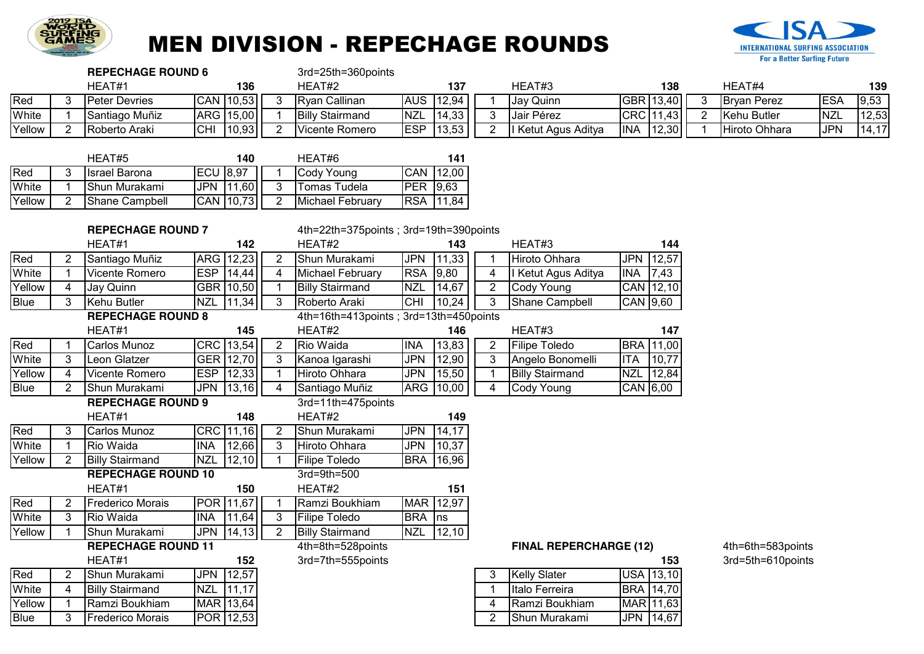

# MEN DIVISION - REPECHAGE ROUNDS



|             |                | <b>REPECHAGE ROUND 6</b>  |                     |                | 3rd=25th=360points                     |            |           |                |                               |                           |              |                    |            |       |
|-------------|----------------|---------------------------|---------------------|----------------|----------------------------------------|------------|-----------|----------------|-------------------------------|---------------------------|--------------|--------------------|------------|-------|
|             |                | HEAT#1                    | 136                 |                | HEAT#2                                 |            | 137       |                | HEAT#3                        | 138                       |              | HEAT#4             |            | 139   |
| Red         | 3              | <b>Peter Devries</b>      | CAN 10,53           | 3              | Ryan Callinan                          | <b>AUS</b> | 12,94     | -1             | Jay Quinn                     | GBR 13,40                 | 3            | <b>Bryan Perez</b> | <b>ESA</b> | 9,53  |
| White       |                | Santiago Muñiz            | ARG 15,00           | $\mathbf{1}$   | <b>Billy Stairmand</b>                 | <b>NZL</b> | 14,33     | 3              | Jair Pérez                    | CRC 11,43                 | 2            | <b>Kehu Butler</b> | <b>NZL</b> | 12,53 |
| Yellow      | $\overline{2}$ | Roberto Araki             | <b>CHI</b><br>10,93 | $\overline{2}$ | Vicente Romero                         | <b>ESP</b> | 13,53     | $\overline{2}$ | I Ketut Agus Aditya           | 12,30<br><b>INA</b>       | $\mathbf{1}$ | Hiroto Ohhara      | <b>JPN</b> | 14,17 |
|             |                |                           |                     |                |                                        |            |           |                |                               |                           |              |                    |            |       |
|             |                | HEAT#5                    | 140                 |                | HEAT#6                                 |            | 141       |                |                               |                           |              |                    |            |       |
| Red         | 3              | <b>Israel Barona</b>      | <b>ECU</b> 8,97     |                | Cody Young                             | CAN        | 12,00     |                |                               |                           |              |                    |            |       |
| White       | $\mathbf 1$    | Shun Murakami             | JPN<br>11,60        | 3              | <b>Tomas Tudela</b>                    | $PER$ 9,63 |           |                |                               |                           |              |                    |            |       |
| Yellow      | 2              | Shane Campbell            | CAN 10,73           | $\overline{2}$ | Michael February                       |            | RSA 11,84 |                |                               |                           |              |                    |            |       |
|             |                |                           |                     |                |                                        |            |           |                |                               |                           |              |                    |            |       |
|             |                | <b>REPECHAGE ROUND 7</b>  |                     |                | 4th=22th=375points; 3rd=19th=390points |            |           |                |                               |                           |              |                    |            |       |
|             |                | HEAT#1                    | 142                 |                | HEAT#2                                 |            | 143       |                | HEAT#3                        | 144                       |              |                    |            |       |
| Red         | 2              | Santiago Muñiz            | ARG 12,23           | $\overline{2}$ | Shun Murakami                          | <b>JPN</b> | 11,33     | -1             | Hiroto Ohhara                 | 12,57<br><b>JPN</b>       |              |                    |            |       |
| White       | -1             | Vicente Romero            | <b>ESP</b><br>14,44 | $\overline{4}$ | Michael February                       | RSA 9,80   |           | 4              | I Ketut Agus Aditya           | <b>INA</b><br>7,43        |              |                    |            |       |
| Yellow      | $\overline{4}$ | Jay Quinn                 | GBR 10,50           | $\mathbf{1}$   | <b>Billy Stairmand</b>                 | <b>NZL</b> | 14,67     | $\overline{2}$ | Cody Young                    | CAN 12,10                 |              |                    |            |       |
| Blue        | 3              | <b>Kehu Butler</b>        | <b>NZL</b><br>11,34 | 3              | Roberto Araki                          | CHI        | 10,24     | 3              | Shane Campbell                | CAN 9,60                  |              |                    |            |       |
|             |                | <b>REPECHAGE ROUND 8</b>  |                     |                | 4th=16th=413points; 3rd=13th=450points |            |           |                |                               |                           |              |                    |            |       |
|             |                | HEAT#1                    | 145                 |                | HEAT#2                                 |            | 146       |                | HEAT#3                        | 147                       |              |                    |            |       |
| Red         | -1             | Carlos Munoz              | CRC 13,54           | $\overline{2}$ | <b>Rio Waida</b>                       | <b>INA</b> | 13,83     | $\overline{2}$ | <b>Filipe Toledo</b>          | <b>BRA</b> 11,00          |              |                    |            |       |
| White       | 3              | Leon Glatzer              | GER 12,70           | 3              | Kanoa Igarashi                         | <b>JPN</b> | 12,90     | 3              | Angelo Bonomelli              | $\overline{ITA}$<br>10,77 |              |                    |            |       |
| Yellow      | $\overline{4}$ | Vicente Romero            | <b>ESP</b><br>12,33 | 1              | Hiroto Ohhara                          | <b>JPN</b> | 15,50     | $\mathbf 1$    | <b>Billy Stairmand</b>        | <b>NZL</b><br>12,84       |              |                    |            |       |
| <b>Blue</b> | $\overline{2}$ | Shun Murakami             | <b>JPN</b><br>13,16 | 4              | Santiago Muñiz                         | ARG        | 10,00     | $\overline{4}$ | Cody Young                    | CAN 6,00                  |              |                    |            |       |
|             |                | <b>REPECHAGE ROUND 9</b>  |                     |                | 3rd=11th=475points                     |            |           |                |                               |                           |              |                    |            |       |
|             |                | HEAT#1                    | 148                 |                | HEAT#2                                 |            | 149       |                |                               |                           |              |                    |            |       |
| Red         | 3              | Carlos Munoz              | CRC 11,16           | $\overline{2}$ | Shun Murakami                          | <b>JPN</b> | 14,17     |                |                               |                           |              |                    |            |       |
| White       | -1             | Rio Waida                 | 12,66<br><b>INA</b> | 3              | Hiroto Ohhara                          | <b>JPN</b> | 10,37     |                |                               |                           |              |                    |            |       |
| Yellow      | $\overline{2}$ | <b>Billy Stairmand</b>    | <b>NZL</b><br>12,10 |                | Filipe Toledo                          | <b>BRA</b> | 16,96     |                |                               |                           |              |                    |            |       |
|             |                | <b>REPECHAGE ROUND 10</b> |                     |                | 3rd=9th=500                            |            |           |                |                               |                           |              |                    |            |       |
|             |                | HEAT#1                    | 150                 |                | HEAT#2                                 |            | 151       |                |                               |                           |              |                    |            |       |
| Red         | 2              | <b>Frederico Morais</b>   | POR 11,67           | 1              | Ramzi Boukhiam                         |            | MAR 12,97 |                |                               |                           |              |                    |            |       |
| White       | 3              | Rio Waida                 | <b>INA</b><br>11,64 | 3              | Filipe Toledo                          | BRA ns     |           |                |                               |                           |              |                    |            |       |
| Yellow      | -1             | Shun Murakami             | <b>JPN</b><br>14,13 | $\overline{2}$ | <b>Billy Stairmand</b>                 | <b>NZL</b> | 12,10     |                |                               |                           |              |                    |            |       |
|             |                | <b>REPECHAGE ROUND 11</b> |                     |                | 4th=8th=528points                      |            |           |                | <b>FINAL REPERCHARGE (12)</b> |                           |              | 4th=6th=583points  |            |       |
|             |                | HEAT#1                    | 152                 |                | 3rd=7th=555points                      |            |           |                |                               | 153                       |              | 3rd=5th=610points  |            |       |
| Red         | $\overline{2}$ | Shun Murakami             | <b>JPN</b><br>12,57 |                |                                        |            |           | 3              | <b>Kelly Slater</b>           | USA 13,10                 |              |                    |            |       |
| White       | $\overline{4}$ | <b>Billy Stairmand</b>    | <b>NZL</b><br>11,17 |                |                                        |            |           | $\mathbf 1$    | Italo Ferreira                | <b>BRA</b> 14,70          |              |                    |            |       |
| Yellow      |                | Ramzi Boukhiam            | MAR 13,64           |                |                                        |            |           | 4              | Ramzi Boukhiam                | MAR 11,63                 |              |                    |            |       |
| Blue        | 3              | <b>Frederico Morais</b>   | POR 12,53           |                |                                        |            |           | $\overline{2}$ | Shun Murakami                 | JPN 14,67                 |              |                    |            |       |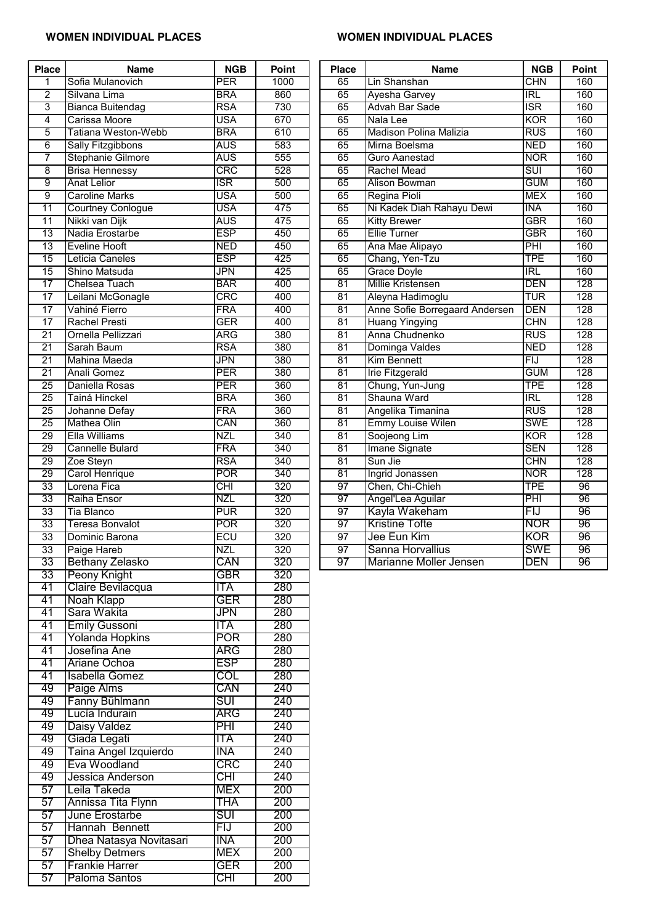#### WOMEN INDIVIDUAL PLACES WOMEN INDIVIDUAL PLACES

| <b>Place</b>          | <b>Name</b>                      | <b>NGB</b>               | <b>Point</b>     | <b>Place</b>    | <b>Name</b>                                    | <b>NGB</b>              | Point            |
|-----------------------|----------------------------------|--------------------------|------------------|-----------------|------------------------------------------------|-------------------------|------------------|
| 1                     | Sofia Mulanovich                 | <b>PER</b>               | 1000             | 65              | Lin Shanshan                                   | <b>CHN</b>              | 160              |
| $\overline{2}$        | Silvana Lima                     | <b>BRA</b>               | 860              | 65              | <b>Ayesha Garvey</b>                           | IRL                     | 160              |
| 3                     | <b>Bianca Buitendag</b>          | <b>RSA</b>               | 730              | 65              | Advah Bar Sade                                 | <b>ISR</b>              | 160              |
| 4                     | Carissa Moore                    | <b>USA</b>               | 670              | 65              | Nala Lee                                       | <b>KOR</b>              | 160              |
| 5                     | Tatiana Weston-Webb              | <b>BRA</b>               | 610              | 65              | Madison Polina Malizia                         | <b>RUS</b>              | 160              |
| 6                     | <b>Sally Fitzgibbons</b>         | AUS                      | 583              | 65              | Mirna Boelsma                                  | NED                     | 160              |
| 7                     | Stephanie Gilmore                | AUS                      | 555              | 65              | Guro Aanestad                                  | <b>NOR</b>              | 160              |
| $\overline{8}$        | <b>Brisa Hennessy</b>            | <b>CRC</b>               | 528              | 65              | <b>Rachel Mead</b>                             | SUI                     | 160              |
| पु                    | <b>Anat Lelior</b>               | $\overline{\text{lsR}}$  | 500              | 65              | Alison Bowman                                  | gum                     | 160              |
| 9                     | <b>Caroline Marks</b>            | <b>USA</b>               | 500              | 65              | Regina Pioli                                   | <b>MEX</b>              | 160              |
| 11                    | <b>Courtney Conlogue</b>         | <b>USA</b>               | 475              | 65              | Ni Kadek Diah Rahayu Dewi                      | <b>INA</b>              | 160              |
| 11                    | Nikki van Dijk                   | AUS                      | 475              | 65              | <b>Kitty Brewer</b>                            | <b>GBR</b>              | 160              |
| $\overline{13}$       | Nadia Erostarbe                  | $\overline{\text{ESP}}$  | 450              | 65              | <b>Ellie Turner</b>                            | $\overline{\text{GBR}}$ | 160              |
| 13                    | Eveline Hooft                    | <b>NED</b><br><b>ESP</b> | 450<br>425       | 65              | Ana Mae Alipayo                                | PHI<br>TPE              | 160              |
| 15<br>$\overline{15}$ | Leticia Caneles<br>Shino Matsuda | JPN                      | 425              | 65<br>65        | Chang, Yen-Tzu                                 | IRL                     | 160<br>160       |
| $\overline{17}$       | Chelsea Tuach                    | <b>BAR</b>               | 400              | 81              | <b>Grace Doyle</b><br><b>Millie Kristensen</b> | <b>DEN</b>              | $\overline{128}$ |
| 17                    | Leilani McGonagle                | CRC                      | 400              | 81              | Aleyna Hadimoglu                               | <b>TUR</b>              | 128              |
| $\overline{17}$       | Vahiné Fierro                    | <b>FRA</b>               | 400              | 81              | Anne Sofie Borregaard Andersen                 | DEN                     | 128              |
| $\overline{17}$       | <b>Rachel Presti</b>             | GER                      | 400              | $\overline{81}$ | <b>Huang Yingying</b>                          | CHN                     | 128              |
| $\overline{21}$       | Ornella Pellizzari               | ARG                      | 380              | $\overline{81}$ | Anna Chudnenko                                 | <b>RUS</b>              | $\overline{128}$ |
| $\overline{21}$       | Sarah Baum                       | <b>RSA</b>               | 380              | 81              | Dominga Valdes                                 | NED                     | 128              |
| 21                    | Mahina Maeda                     | JPN                      | 380              | 81              | Kim Bennett                                    | FIJ                     | 128              |
| $\overline{21}$       | Anali Gomez                      | <b>PER</b>               | 380              | 81              | <b>Irie Fitzgerald</b>                         | <b>GUM</b>              | 128              |
| 25                    | Daniella Rosas                   | <b>PER</b>               | 360              | 81              | Chung, Yun-Jung                                | TPE                     | 128              |
| 25                    | Tainá Hinckel                    | <b>BRA</b>               | 360              | 81              | Shauna Ward                                    | IRL                     | 128              |
| 25                    | Johanne Defay                    | <b>FRA</b>               | 360              | 81              | Angelika Timanina                              | <b>RUS</b>              | 128              |
| 25                    | Mathea Olin                      | CAN                      | 360              | 81              | Emmy Louise Wilen                              | <b>SWE</b>              | $\overline{128}$ |
| 29                    | Ella Williams                    | <b>NZL</b>               | 340              | 81              | Soojeong Lim                                   | <b>KOR</b>              | 128              |
| 29                    | <b>Cannelle Bulard</b>           | <b>FRA</b>               | 340              | 81              | Imane Signate                                  | <b>SEN</b>              | 128              |
| 29                    | Zoe Steyn                        | <b>RSA</b>               | 340              | 81              | Sun Jie                                        | CHN                     | 128              |
| 29                    | Carol Henrique                   | $\overline{\text{POR}}$  | 340              | $\overline{81}$ | Ingrid Jonassen                                | <b>NOR</b>              | 128              |
| 33                    | Lorena Fica                      | СHI                      | 320              | 97              | Chen, Chi-Chieh                                | <b>TPE</b>              | 96               |
| 33                    | Raiha Ensor                      | nzl                      | 320              | 97              | Angel'Lea Aguilar                              | PHI                     | 96               |
| 33                    | Tia Blanco                       | <b>PUR</b>               | 320              | 97              | Kayla Wakeham                                  | FIJ                     | 96               |
| 33                    | Teresa Bonvalot                  | <b>POR</b>               | 320              | 97              | <b>Kristine Tofte</b>                          | NOR                     | 96               |
| 33                    | Dominic Barona                   | ECU                      | 320              | 97              | Jee Eun Kim                                    | KOR                     | 96               |
| 33                    | Paige Hareb                      | <b>NZL</b>               | $\overline{320}$ | 97              | Sanna Horvallius                               | <b>SWE</b>              | 96               |
| 33                    | <b>Bethany Zelasko</b>           | CAN                      | 320              | 97              | Marianne Moller Jensen                         | DEN                     | 96               |
| 33                    | Peony Knight                     | $\overline{\text{GBR}}$  | 320              |                 |                                                |                         |                  |
| 41                    | Claire Bevilacqua                | ITA                      | 280              |                 |                                                |                         |                  |
| 41<br>41              | Noah Klapp<br>Sara Wakita        | GER<br>JPN               | 280<br>280       |                 |                                                |                         |                  |
| 41                    | <b>Emily Gussoni</b>             | ITA                      | 280              |                 |                                                |                         |                  |
| 41                    | Yolanda Hopkins                  | <b>POR</b>               | 280              |                 |                                                |                         |                  |
| 41                    | Josefina Ane                     | ARG                      | 280              |                 |                                                |                         |                  |
| 41                    | Ariane Ochoa                     | $\mathsf{ESP}$           | 280              |                 |                                                |                         |                  |
| 41                    | Isabella Gomez                   | COL                      | 280              |                 |                                                |                         |                  |
| 49                    | Paige Alms                       | CAN                      | 240              |                 |                                                |                         |                  |
| 49                    | Fanny Bühlmann                   | डणा                      | 240              |                 |                                                |                         |                  |
| 49                    | Lucía Indurain                   | ARG                      | 240              |                 |                                                |                         |                  |
| 49                    | Daisy Valdez                     | PHI                      | 240              |                 |                                                |                         |                  |
| 49                    | Giada Legati                     | ITA                      | 240              |                 |                                                |                         |                  |
| 49                    | Taina Angel Izquierdo            | ina                      | 240              |                 |                                                |                         |                  |
| 49                    | Eva Woodland                     | $\overline{\text{CRC}}$  | 240              |                 |                                                |                         |                  |
| 49                    | Jessica Anderson                 | CHI                      | 240              |                 |                                                |                         |                  |
| 57                    | Leila Takeda                     | <b>MEX</b>               | 200              |                 |                                                |                         |                  |
| 57                    | Annissa Tita Flynn               | THA                      | 200              |                 |                                                |                         |                  |
| 57                    | June Erostarbe                   | ऽण                       | 200              |                 |                                                |                         |                  |
| 57                    | Hannah Bennett                   | FIJ                      | 200              |                 |                                                |                         |                  |
| 57                    | Dhea Natasya Novitasari          | ina                      | 200              |                 |                                                |                         |                  |
| 57                    | <b>Shelby Detmers</b>            | MEX                      | 200              |                 |                                                |                         |                  |
| 57                    | Frankie Harrer                   | GER                      | 200              |                 |                                                |                         |                  |
| 57                    | Paloma Santos                    | CHI                      | 200              |                 |                                                |                         |                  |

| <b>Place</b>    | Name                           | <b>NGB</b>              | Point |
|-----------------|--------------------------------|-------------------------|-------|
| 65              | Lin Shanshan                   | <b>CHN</b>              | 160   |
| 65              | Ayesha Garvey                  | <b>IRL</b>              | 160   |
| 65              | <b>Advah Bar Sade</b>          | $\overline{\text{ISR}}$ | 160   |
| 65              | Nala Lee                       | <b>KOR</b>              | 160   |
| 65              | Madison Polina Malizia         | RUS                     | 160   |
| 65              | Mirna Boelsma                  | <b>NED</b>              | 160   |
| 65              | Guro Aanestad                  | <b>NOR</b>              | 160   |
| 65              | <b>Rachel Mead</b>             | $\overline{\text{SUI}}$ | 160   |
| 65              | <b>Alison Bowman</b>           | <b>GUM</b>              | 160   |
| 65              | Regina Pioli                   | <b>MEX</b>              | 160   |
| 65              | Ni Kadek Diah Rahayu Dewi      | <b>INA</b>              | 160   |
| 65              | <b>Kitty Brewer</b>            | <b>GBR</b>              | 160   |
| 65              | <b>Ellie Turner</b>            | <b>GBR</b>              | 160   |
| 65              | Ana Mae Alipayo                | PHI                     | 160   |
| 65              | Chang, Yen-Tzu                 | <b>TPE</b>              | 160   |
| 65              | <b>Grace Doyle</b>             | $\overline{\text{IRL}}$ | 160   |
| $\overline{81}$ | <b>Millie Kristensen</b>       | <b>DEN</b>              | 128   |
| $\overline{81}$ | Aleyna Hadimoglu               | <b>TUR</b>              | 128   |
| $\overline{81}$ | Anne Sofie Borregaard Andersen | <b>DEN</b>              | 128   |
| 81              | <b>Huang Yingying</b>          | <b>CHN</b>              | 128   |
| $\overline{81}$ | Anna Chudnenko                 | <b>RUS</b>              | 128   |
| 81              | Dominga Valdes                 | <b>NED</b>              | 128   |
| $\overline{81}$ | Kim Bennett                    | <b>FIJ</b>              | 128   |
| 81              | <b>Irie Fitzgerald</b>         | <b>GUM</b>              | 128   |
| 81              | Chung, Yun-Jung                | <b>TPE</b>              | 128   |
| $\overline{81}$ | Shauna Ward                    | <b>IRL</b>              | 128   |
| $\overline{81}$ | Angelika Timanina              | RUS                     | 128   |
| $\overline{81}$ | <b>Emmy Louise Wilen</b>       | <b>SWE</b>              | 128   |
| 81              | Soojeong Lim                   | <b>KOR</b>              | 128   |
| $\overline{81}$ | Imane Signate                  | <b>SEN</b>              | 128   |
| 81              | Sun Jie                        | <b>CHN</b>              | 128   |
| 81              | Ingrid Jonassen                | <b>NOR</b>              | 128   |
| $\overline{97}$ | Chen, Chi-Chieh                | <b>TPE</b>              | 96    |
| $\overline{97}$ | Angel'Lea Aguilar              | PHI                     | 96    |
| 97              | Kayla Wakeham                  | FIJ                     | 96    |
| 97              | <b>Kristine Tofte</b>          | <b>NOR</b>              | 96    |
| $\overline{97}$ | Jee Eun Kim                    | <b>KOR</b>              | 96    |
| 97              | Sanna Horvallius               |                         |       |
| 97              | Marianne Moller Jensen         |                         | 96    |
|                 |                                | <b>SWE</b><br>DEN       | 96    |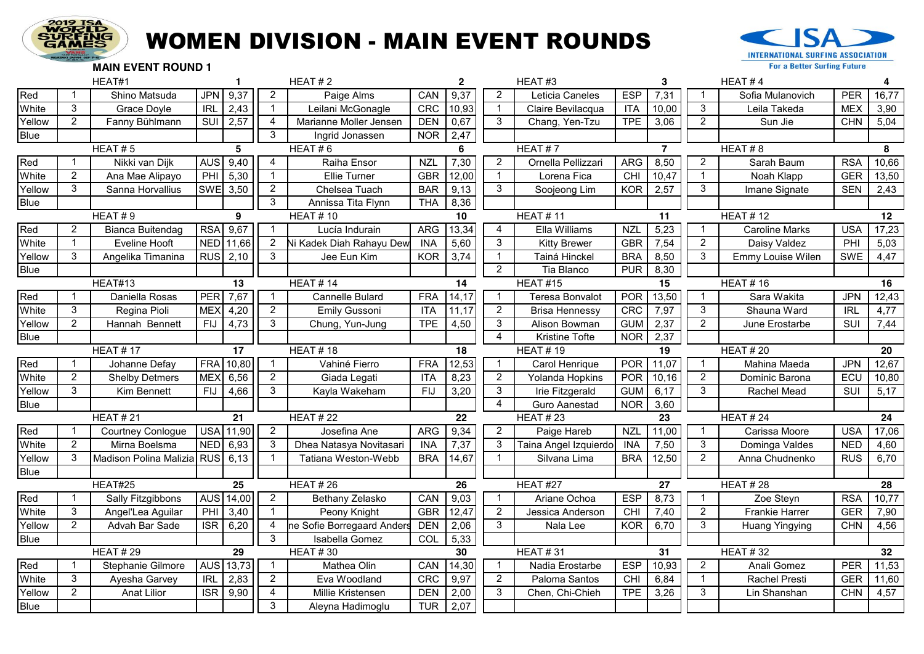

### **WOMEN DIVISION - MAIN EVENT ROUNDS**



|             |                      | HEAT#1                 |            | -1        |                      | HEAT#2                     |            | $\mathbf{2}$ |                         | HEAT#3                 |            | 3              |                | HEAT#4                |            | 4     |
|-------------|----------------------|------------------------|------------|-----------|----------------------|----------------------------|------------|--------------|-------------------------|------------------------|------------|----------------|----------------|-----------------------|------------|-------|
| Red         |                      | Shino Matsuda          | <b>JPN</b> | 9,37      | $\overline{2}$       | Paige Alms                 | CAN        | 9,37         | 2                       | Leticia Caneles        | <b>ESP</b> | 7,31           |                | Sofia Mulanovich      | <b>PER</b> | 16,77 |
| White       | 3                    | Grace Doyle            | <b>IRL</b> | 2,43      | $\mathbf 1$          | Leilani McGonagle          | <b>CRC</b> | 10,93        | $\mathbf 1$             | Claire Bevilacqua      | <b>ITA</b> | 10,00          | 3              | Leila Takeda          | <b>MEX</b> | 3,90  |
| Yellow      | $\overline{2}$       | Fanny Bühlmann         | SUI        | 2,57      | 4                    | Marianne Moller Jensen     | <b>DEN</b> | 0,67         | $\mathbf{3}$            | Chang, Yen-Tzu         | <b>TPE</b> | 3,06           | 2              | Sun Jie               | <b>CHN</b> | 5,04  |
| Blue        |                      |                        |            |           | 3                    | Ingrid Jonassen            | <b>NOR</b> | 2,47         |                         |                        |            |                |                |                       |            |       |
|             |                      | HEAT#5                 |            | 5         |                      | HEAT#6                     |            | 6            |                         | HEAT#7                 |            | $\overline{7}$ |                | HEAT#8                |            | 8     |
| Red         | 1                    | Nikki van Dijk         | <b>AUS</b> | 9,40      | 4                    | Raiha Ensor                | <b>NZL</b> | 7,30         | $\overline{2}$          | Ornella Pellizzari     | <b>ARG</b> | 8,50           | $\overline{2}$ | Sarah Baum            | <b>RSA</b> | 10,66 |
| White       | $\overline{2}$       | Ana Mae Alipayo        | PHI        | 5,30      | $\mathbf{1}$         | Ellie Turner               | <b>GBR</b> | 12,00        | $\mathbf{1}$            | Lorena Fica            | CHI        | 10,47          | $\mathbf{1}$   | Noah Klapp            | <b>GER</b> | 13,50 |
| Yellow      | 3                    | Sanna Horvallius       |            | SWE 3,50  | $\overline{2}$       | Chelsea Tuach              | <b>BAR</b> | 9,13         | 3                       | Soojeong Lim           | <b>KOR</b> | 2,57           | 3              | Imane Signate         | <b>SEN</b> | 2,43  |
| <b>Blue</b> |                      |                        |            |           | 3                    | Annissa Tita Flynn         | <b>THA</b> | 8,36         |                         |                        |            |                |                |                       |            |       |
|             |                      | HEAT#9                 |            | 9         |                      | <b>HEAT#10</b>             |            | 10           |                         | <b>HEAT#11</b>         |            | 11             |                | <b>HEAT#12</b>        |            | 12    |
| Red         | $\overline{2}$       | Bianca Buitendag       |            | RSA 9,67  | -1                   | Lucía Indurain             | <b>ARG</b> | 13,34        | $\overline{4}$          | Ella Williams          | <b>NZL</b> | 5,23           | $\mathbf 1$    | <b>Caroline Marks</b> | <b>USA</b> | 17,23 |
| White       |                      | Eveline Hooft          |            | NED 11,66 | $\overline{2}$       | Ni Kadek Diah Rahayu Dew   | <b>INA</b> | 5,60         | 3                       | <b>Kitty Brewer</b>    | <b>GBR</b> | 7,54           | $\overline{2}$ | Daisy Valdez          | PHI        | 5,03  |
| Yellow      | 3                    | Angelika Timanina      |            | RUS 2,10  | 3                    | Jee Eun Kim                | <b>KOR</b> | 3,74         | -1                      | Tainá Hinckel          | <b>BRA</b> | 8,50           | 3              | Emmy Louise Wilen     | <b>SWE</b> | 4,47  |
| Blue        |                      |                        |            |           |                      |                            |            |              | 2                       | Tia Blanco             | <b>PUR</b> | 8,30           |                |                       |            |       |
|             |                      | HEAT#13                |            | 13        |                      | <b>HEAT #14</b>            |            | 14           |                         | HEAT#15                |            | 15             |                | <b>HEAT#16</b>        |            | 16    |
| Red         |                      | Daniella Rosas         | <b>PER</b> | 7,67      |                      | Cannelle Bulard            | <b>FRA</b> | 14, 17       | -1                      | <b>Teresa Bonvalot</b> | <b>POR</b> | 13,50          |                | Sara Wakita           | <b>JPN</b> | 12,43 |
| White       | 3                    | Regina Pioli           | <b>MEX</b> | 4,20      | $\overline{2}$       | Emily Gussoni              | <b>ITA</b> | 11,17        | $\overline{2}$          | <b>Brisa Hennessy</b>  | <b>CRC</b> | 7,97           | 3              | Shauna Ward           | <b>IRL</b> | 4,77  |
| Yellow      | $\overline{2}$       | Hannah Bennett         | <b>FIJ</b> | 4,73      | 3                    | Chung, Yun-Jung            | <b>TPE</b> | 4,50         | $\mathbf{3}$            | Alison Bowman          | <b>GUM</b> | 2,37           | $\overline{2}$ | June Erostarbe        | SUI        | 7,44  |
| <b>Blue</b> |                      |                        |            |           |                      |                            |            |              | $\overline{4}$          | Kristine Tofte         | <b>NOR</b> | 2,37           |                |                       |            |       |
|             |                      | <b>HEAT#17</b>         |            | 17        |                      | <b>HEAT#18</b>             |            | 18           |                         | <b>HEAT#19</b>         |            | 19             |                | <b>HEAT#20</b>        |            | 20    |
| Red         |                      | Johanne Defay          | <b>FRA</b> | 10,80     | $\blacktriangleleft$ | Vahiné Fierro              | <b>FRA</b> | 12,53        | $\overline{\mathbf{1}}$ | Carol Henrique         | <b>POR</b> | 11,07          |                | Mahina Maeda          | <b>JPN</b> | 12,67 |
| White       | $\overline{2}$       | <b>Shelby Detmers</b>  | <b>MEX</b> | 6,56      | $\overline{2}$       | Giada Legati               | <b>ITA</b> | 8,23         | 2                       | Yolanda Hopkins        | <b>POR</b> | 10,16          | 2              | Dominic Barona        | ECU        | 10,80 |
| Yellow      | 3                    | Kim Bennett            | <b>FIJ</b> | 4,66      | 3                    | Kayla Wakeham              | <b>FIJ</b> | 3,20         | 3                       | Irie Fitzgerald        | <b>GUM</b> | 6,17           | 3              | Rachel Mead           | SUI        | 5,17  |
| <b>Blue</b> |                      |                        |            |           |                      |                            |            |              | $\overline{4}$          | Guro Aanestad          | <b>NOR</b> | 3,60           |                |                       |            |       |
|             |                      | <b>HEAT#21</b>         |            | 21        |                      | <b>HEAT#22</b>             |            | 22           |                         | <b>HEAT#23</b>         |            | 23             |                | <b>HEAT#24</b>        |            | 24    |
| Red         |                      | Courtney Conlogue      |            | USA 11,90 | 2                    | Josefina Ane               | <b>ARG</b> | 9,34         | $\overline{2}$          | Paige Hareb            | <b>NZL</b> | 11,00          | $\mathbf{1}$   | Carissa Moore         | <b>USA</b> | 17,06 |
| White       | $\overline{2}$       | Mirna Boelsma          | <b>NED</b> | 6,93      | 3                    | Dhea Natasya Novitasari    | <b>INA</b> | 7,37         | 3                       | Taina Angel Izquierdo  | <b>INA</b> | 7,50           | 3              | Dominga Valdes        | <b>NED</b> | 4,60  |
| Yellow      | 3                    | Madison Polina Malizia |            | RUS 6,13  |                      | Tatiana Weston-Webb        | <b>BRA</b> | 14,67        | $\overline{\mathbf{1}}$ | Silvana Lima           | <b>BRA</b> | 12,50          | $\overline{2}$ | Anna Chudnenko        | <b>RUS</b> | 6,70  |
| <b>Blue</b> |                      |                        |            |           |                      |                            |            |              |                         |                        |            |                |                |                       |            |       |
|             |                      | HEAT#25                |            | 25        |                      | <b>HEAT#26</b>             |            | 26           |                         | HEAT#27                |            | 27             |                | <b>HEAT#28</b>        |            | 28    |
| Red         | -1                   | Sally Fitzgibbons      | AUS        | 14,00     | $\overline{2}$       | Bethany Zelasko            | CAN        | 9,03         | $\overline{\mathbf{1}}$ | Ariane Ochoa           | <b>ESP</b> | 8,73           | $\mathbf{1}$   | Zoe Steyn             | <b>RSA</b> | 10,77 |
| White       | 3                    | Angel'Lea Aguilar      | PHI        | 3,40      | 1                    | Peony Knight               | <b>GBR</b> | 12,47        | 2                       | Jessica Anderson       | CHI        | 7,40           | $\overline{2}$ | Frankie Harrer        | <b>GER</b> | 7,90  |
| Yellow      | $\mathbf{2}^{\circ}$ | Advah Bar Sade         | <b>ISR</b> | 6,20      | $\overline{4}$       | ne Sofie Borregaard Anders | <b>DEN</b> | 2,06         | 3                       | Nala Lee               | <b>KOR</b> | 6,70           | 3              | Huang Yingying        | <b>CHN</b> | 4,56  |
| <b>Blue</b> |                      |                        |            |           | 3                    | Isabella Gomez             | COL        | 5,33         |                         |                        |            |                |                |                       |            |       |
|             |                      | <b>HEAT#29</b>         |            | 29        |                      | <b>HEAT#30</b>             |            | 30           |                         | <b>HEAT#31</b>         |            | 31             |                | <b>HEAT#32</b>        |            | 32    |
| Red         |                      | Stephanie Gilmore      | <b>AUS</b> | 13,73     | $\mathbf 1$          | Mathea Olin                | CAN        | 14,30        | -1                      | Nadia Erostarbe        | <b>ESP</b> | 10,93          | $\overline{2}$ | Anali Gomez           | <b>PER</b> | 11,53 |
| White       | 3                    | Ayesha Garvey          | <b>IRL</b> | 2,83      | $\overline{2}$       | Eva Woodland               | <b>CRC</b> | 9,97         | $\overline{2}$          | Paloma Santos          | CHI        | 6,84           | $\mathbf{1}$   | Rachel Presti         | <b>GER</b> | 11,60 |
| Yellow      | $\overline{2}$       | <b>Anat Lilior</b>     | <b>ISR</b> | 9,90      | $\overline{4}$       | Millie Kristensen          | <b>DEN</b> | 2,00         | 3                       | Chen, Chi-Chieh        | <b>TPE</b> | 3,26           | 3              | Lin Shanshan          | <b>CHN</b> | 4,57  |
| Blue        |                      |                        |            |           | 3                    | Aleyna Hadimoglu           | <b>TUR</b> | 2,07         |                         |                        |            |                |                |                       |            |       |
|             |                      |                        |            |           |                      |                            |            |              |                         |                        |            |                |                |                       |            |       |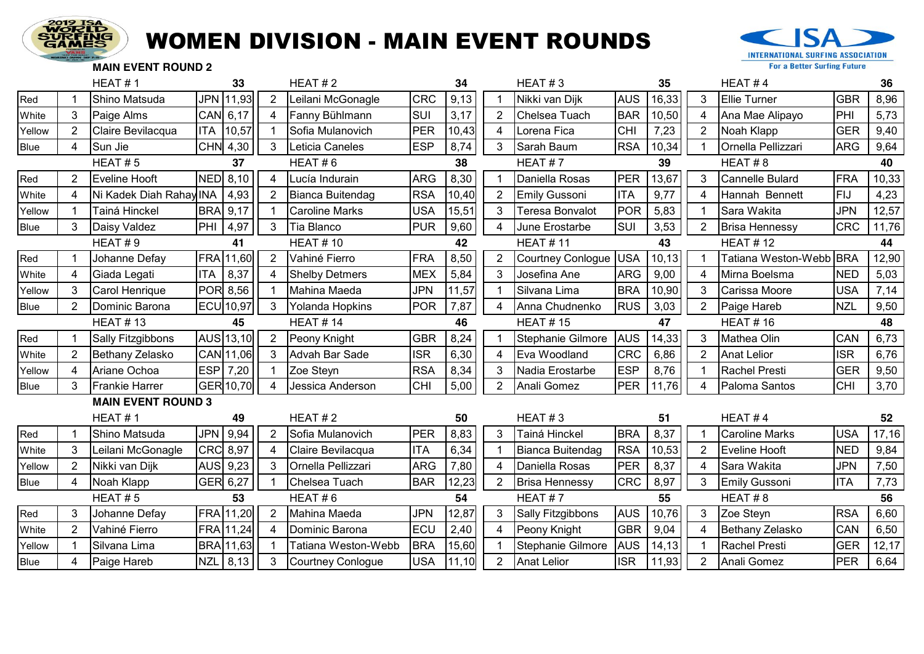

# **WOMEN DIVISION - MAIN EVENT ROUNDS**



|             |                | HEAT # 1                  | 33                   |                        | HEAT#2                    |            | 34    |                         | HEAT#3                   |            | 35    |                | HEAT#4                    |            | 36    |
|-------------|----------------|---------------------------|----------------------|------------------------|---------------------------|------------|-------|-------------------------|--------------------------|------------|-------|----------------|---------------------------|------------|-------|
| Red         |                | Shino Matsuda             | <b>JPN</b><br>11,93  | $\overline{2}$         | Leilani McGonagle         | <b>CRC</b> | 9,13  |                         | Nikki van Dijk           | <b>AUS</b> | 16,33 | 3              | <b>Ellie Turner</b>       | <b>GBR</b> | 8,96  |
| White       | 3              | Paige Alms                | CAN 6,17             | 4                      | Fanny Bühlmann            | SUI        | 3,17  |                         | Chelsea Tuach            | <b>BAR</b> | 10,50 | 4              | Ana Mae Alipayo           | PHI        | 5,73  |
| Yellow      | $\overline{2}$ | Claire Bevilacqua         | <b>ITA</b><br>10,57  |                        | Sofia Mulanovich          | PER        | 10,43 | 4                       | Lorena Fica              | <b>CHI</b> | 7,23  | $\overline{2}$ | Noah Klapp                | GER        | 9,40  |
| <b>Blue</b> | 4              | Sun Jie                   | <b>CHN</b><br>4,30   | 3                      | Leticia Caneles           | <b>ESP</b> | 8,74  | 3                       | Sarah Baum               | <b>RSA</b> | 10,34 |                | <b>Ornella Pellizzari</b> | <b>ARG</b> | 9,64  |
|             |                | HEAT#5                    | 37                   |                        | HEAT#6                    |            | 38    |                         | HEAT#7                   |            | 39    |                | HEAT#8                    |            | 40    |
| Red         | 2              | Eveline Hooft             | NED 8,10             |                        | Lucía Indurain            | <b>ARG</b> | 8,30  |                         | Daniella Rosas           | PER        | 13,67 | 3              | Cannelle Bulard           | FRA        | 10,33 |
| White       | 4              | Ni Kadek Diah Rahay INA   | 4,93                 |                        | Bianca Buitendag          | <b>RSA</b> | 10,40 | $\overline{2}$          | Emily Gussoni            | <b>ITA</b> | 9,77  | 4              | Hannah Bennett            | FIJ        | 4,23  |
| Yellow      |                | Tainá Hinckel             | <b>BRA</b><br>9,17   |                        | <b>Caroline Marks</b>     | <b>USA</b> | 15,51 |                         | Teresa Bonvalot          | <b>POR</b> | 5,83  |                | Sara Wakita               | <b>JPN</b> | 12,57 |
| <b>Blue</b> | 3              | Daisy Valdez              | PHI<br>4,97          | 3                      | Tia Blanco                | PUR        | 9,60  | 4                       | June Erostarbe           | SUI        | 3,53  | $\overline{2}$ | <b>Brisa Hennessy</b>     | <b>CRC</b> | 11,76 |
|             |                | HEAT#9                    | 41                   |                        | <b>HEAT #10</b>           |            | 42    |                         | <b>HEAT #11</b>          |            | 43    |                | <b>HEAT #12</b>           |            | 44    |
| Red         |                | Johanne Defay             | FRA 11,60            | 2                      | Vahiné Fierro             | <b>FRA</b> | 8,50  | $\overline{2}$          | <b>Courtney Conlogue</b> | <b>USA</b> | 10,13 |                | Tatiana Weston-Webb BRA   |            | 12,90 |
| White       | 4              | Giada Legati              | <b>ITA</b><br>8,37   | Δ                      | <b>Shelby Detmers</b>     | <b>MEX</b> | 5,84  | 3                       | Josefina Ane             | <b>ARG</b> | 9,00  | 4              | Mirna Boelsma             | <b>NED</b> | 5,03  |
| Yellow      | 3              | Carol Henrique            | POR 8,56             |                        | Mahina Maeda              | <b>JPN</b> | 11,57 |                         | Silvana Lima             | <b>BRA</b> | 10,90 | 3              | Carissa Moore             | <b>USA</b> | 7,14  |
| <b>Blue</b> | $\overline{2}$ | Dominic Barona            | ECU <sub>10,97</sub> | 3                      | Yolanda Hopkins           | POR        | 7,87  | 4                       | Anna Chudnenko           | <b>RUS</b> | 3,03  | $\overline{2}$ | Paige Hareb               | NZL        | 9,50  |
|             |                | <b>HEAT#13</b>            | 45                   |                        | <b>HEAT #14</b>           |            | 46    |                         | <b>HEAT #15</b>          |            | 47    |                | <b>HEAT #16</b>           |            | 48    |
| Red         |                | Sally Fitzgibbons         | AUS 13,10            | $\overline{2}$         | Peony Knight              | <b>GBR</b> | 8,24  |                         | Stephanie Gilmore        | <b>AUS</b> | 14,33 | 3              | Mathea Olin               | <b>CAN</b> | 6,73  |
| White       | $\overline{2}$ | Bethany Zelasko           | CAN 11,06            | 3                      | Advah Bar Sade            | <b>ISR</b> | 6,30  | 4                       | Eva Woodland             | <b>CRC</b> | 6,86  | 2              | <b>Anat Lelior</b>        | <b>ISR</b> | 6,76  |
| Yellow      | 4              | Ariane Ochoa              | <b>ESP</b><br>7,20   |                        | Zoe Steyn                 | <b>RSA</b> | 8,34  |                         | Nadia Erostarbe          | <b>ESP</b> | 8,76  |                | Rachel Presti             | <b>GER</b> | 9,50  |
| <b>Blue</b> | 3              | <b>Frankie Harrer</b>     | GER 10,70            | $\boldsymbol{\Lambda}$ | Jessica Anderson          | <b>CHI</b> | 5,00  | 2                       | Anali Gomez              | <b>PER</b> | 11,76 | 4              | Paloma Santos             | <b>CHI</b> | 3,70  |
|             |                | <b>MAIN EVENT ROUND 3</b> |                      |                        |                           |            |       |                         |                          |            |       |                |                           |            |       |
|             |                | HEAT#1                    | 49                   |                        | HEAT#2                    |            | 50    |                         | HEAT#3                   |            | 51    |                | HEAT#4                    |            | 52    |
| Red         |                | Shino Matsuda             | 9,94<br><b>JPN</b>   | 2                      | Sofia Mulanovich          | <b>PER</b> | 8,83  | 3                       | Tainá Hinckel            | <b>BRA</b> | 8,37  |                | <b>Caroline Marks</b>     | <b>USA</b> | 17,16 |
| White       | 3              | Leilani McGonagle         | <b>CRC</b><br>8,97   | $\overline{4}$         | Claire Bevilacqua         | <b>ITA</b> | 6,34  |                         | Bianca Buitendag         | <b>RSA</b> | 10,53 | $\overline{2}$ | <b>Eveline Hooft</b>      | <b>NED</b> | 9,84  |
| Yellow      | $\overline{2}$ | Nikki van Dijk            | AUS 9,23             | 3                      | <b>Ornella Pellizzari</b> | <b>ARG</b> | 7,80  | $\overline{\mathbf{4}}$ | Daniella Rosas           | <b>PER</b> | 8,37  | 4              | Sara Wakita               | <b>JPN</b> | 7,50  |
| <b>Blue</b> | 4              | Noah Klapp                | GER 6,27             |                        | Chelsea Tuach             | <b>BAR</b> | 12,23 | $\overline{2}$          | <b>Brisa Hennessy</b>    | <b>CRC</b> | 8,97  | 3              | Emily Gussoni             | <b>ITA</b> | 7,73  |
|             |                | HEAT#5                    | 53                   |                        | HEAT#6                    |            | 54    |                         | HEAT#7                   |            | 55    |                | HEAT#8                    |            | 56    |
| Red         |                | Johanne Defay             | FRA 11,20            | 2                      | Mahina Maeda              | <b>JPN</b> | 12,87 | 3                       | Sally Fitzgibbons        | <b>AUS</b> | 10,76 | 3              | Zoe Steyn                 | <b>RSA</b> | 6,60  |
| White       | $\overline{2}$ | Vahiné Fierro             | FRA 11,24            | $\overline{4}$         | Dominic Barona            | ECU        | 2,40  | $\overline{4}$          | Peony Knight             | <b>GBR</b> | 9,04  | 4              | Bethany Zelasko           | CAN        | 6,50  |
| Yellow      |                | Silvana Lima              | BRA 11,63            |                        | Tatiana Weston-Webb       | <b>BRA</b> | 15,60 |                         | Stephanie Gilmore        | <b>AUS</b> | 14,13 |                | Rachel Presti             | <b>GER</b> | 12,17 |
| <b>Blue</b> | 4              | Paige Hareb               | $NZL$ 8,13           | 3                      | Courtney Conlogue         | <b>USA</b> | 11,10 | $\overline{2}$          | <b>Anat Lelior</b>       | <b>ISR</b> | 11,93 | $\overline{2}$ | Anali Gomez               | PER        | 6,64  |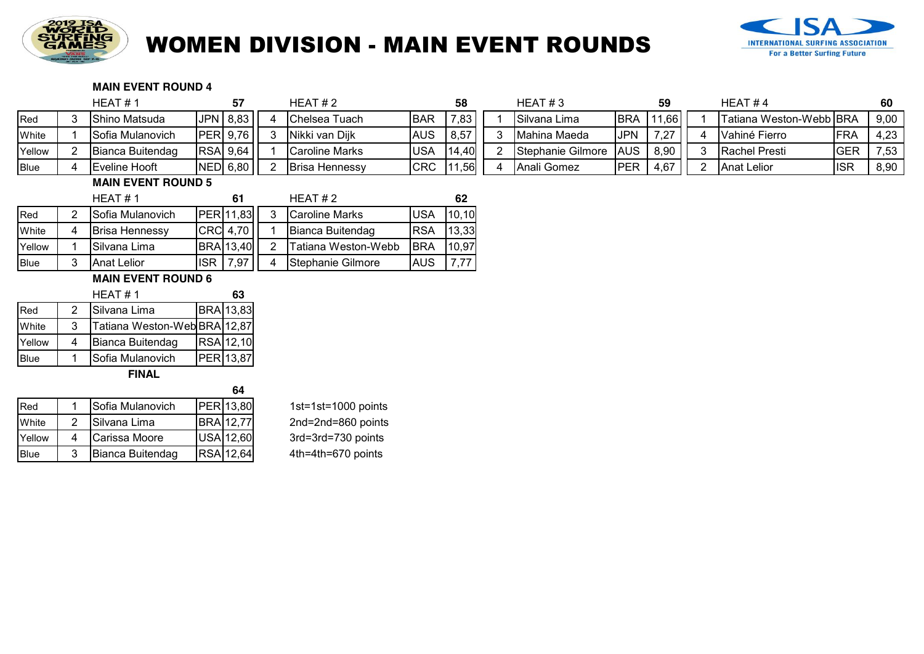

# WOMEN DIVISION - MAIN EVENT ROUNDS



#### **MAIN EVENT ROUND 4**

|             | HEAT #1 |                  |  | HEAT # 2     |                       | 58         | HEAT #3 |                     | 59          | HEAT #4          |                         | 60           |      |
|-------------|---------|------------------|--|--------------|-----------------------|------------|---------|---------------------|-------------|------------------|-------------------------|--------------|------|
| Red         |         | Shino Matsuda    |  | $JPN$ 8,83   | Chelsea Tuach         | <b>BAR</b> | 7,83    | Silvana Lima        | <b>IBRA</b> | .66 <sub>1</sub> | Tatiana Weston-Webb BRA |              | 9,00 |
| White       |         | Sofia Mulanovich |  | $ PER$ 9.76  | Nikki van Dijk        | <b>AUS</b> | 8,57    | Mahina Maeda        | <b>JPN</b>  | 7 27             | Vahiné Fierro           | <b>FRA</b>   | 4,23 |
| Yellow      |         | Bianca Buitendag |  | $ RSA $ 9.64 | Caroline Marks        | <b>USA</b> | 14,40   | Stephanie Gilmore   | <b>AUS</b>  | 8,90             | <b>IRachel Presti</b>   | IGER         | 7,53 |
| <b>Blue</b> |         | Eveline Hooft    |  | NED 6,80     | <b>Brisa Hennessy</b> | <b>CRC</b> | .56     | <b>IAnali Gomez</b> | <b>PER</b>  | 4,67             | <b>Anat Lelior</b>      | <b>I</b> ISR | 8,90 |

#### **MAIN EVENT ROUND 5**

|             | HEAT # 1              |            | 61               | HFAT $#2$             |            | 62    |
|-------------|-----------------------|------------|------------------|-----------------------|------------|-------|
| Red         | Sofia Mulanovich      |            | <b>PER11,83</b>  | <b>Caroline Marks</b> | <b>USA</b> | 10,10 |
| White       | <b>Brisa Hennessy</b> |            | <b>CRC</b> 4,70  | Bianca Buitendag      | <b>RSA</b> | 13.33 |
| Yellow      | <b>Silvana Lima</b>   |            | <b>BRA</b> 13,40 | Tatiana Weston-Webb   | <b>BRA</b> | 10,97 |
| <b>Blue</b> | <b>Anat Lelior</b>    | <b>ISR</b> | 7.97             | Stephanie Gilmore     | <b>AUS</b> |       |

#### **MAIN EVENT ROUND 6**

|             |   | HEAT#1                       | 63               |
|-------------|---|------------------------------|------------------|
| Red         |   | Silvana Lima                 | <b>BRA</b> 13,83 |
| White       | 3 | Tatiana Weston-Web BRA 12,87 |                  |
| Yellow      | 4 | Bianca Buitendag             | RSA 12,10        |
| <b>Blue</b> |   | Sofia Mulanovich             | <b>PER</b> 13,87 |
|             |   |                              |                  |

**FINAL**

|              |   |                  | 64               |
|--------------|---|------------------|------------------|
| <b>I</b> Red |   | Sofia Mulanovich | PER 13,80        |
| White        | 2 | Silvana Lima     | <b>BRA</b> 12,77 |
| Yellow       |   | Carissa Moore    | USA 12,60        |
| Blue         |   | Bianca Buitendag | <b>RSA</b> 12,64 |

1 st=1 st=1000 points 2nd=2nd=860 points 3rd=3rd=730 points 4th=4th=670 points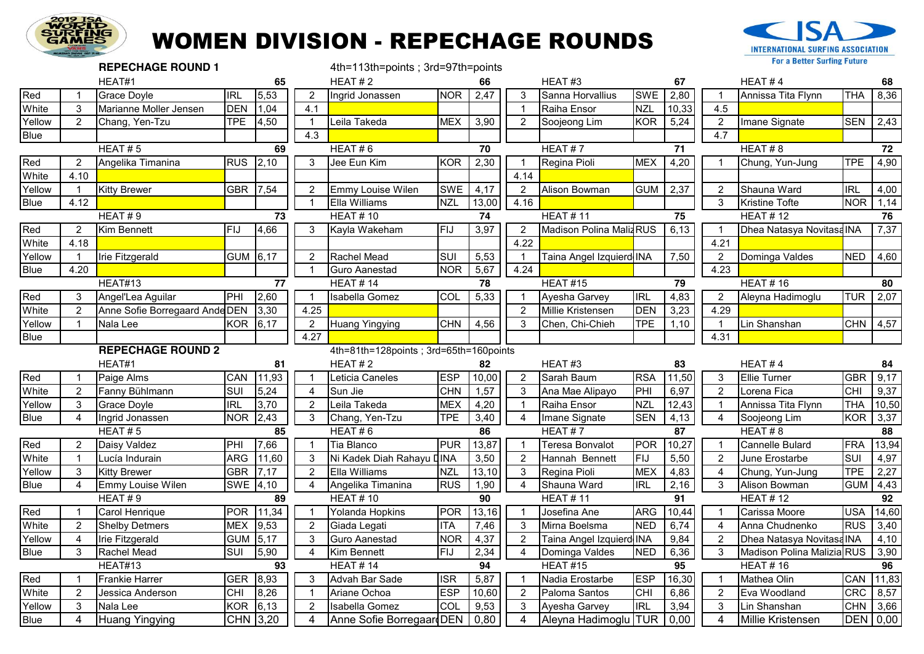

### **WOMEN DIVISION - REPECHAGE ROUNDS**



|             | <b>REPECHAGE ROUND 1</b> |                                   |                        |                |                                  | 4th=113th=points; 3rd=97th=points           |            |              |                |                                       |                |              |                | For a Better Surfing Future       |                               |       |
|-------------|--------------------------|-----------------------------------|------------------------|----------------|----------------------------------|---------------------------------------------|------------|--------------|----------------|---------------------------------------|----------------|--------------|----------------|-----------------------------------|-------------------------------|-------|
|             |                          | HEAT#1                            |                        | 65             |                                  | HEAT#2                                      |            | 66           |                | HEAT#3                                |                | 67           |                | HEAT#4                            |                               | 68    |
| Red         | $\mathbf{1}$             | <b>Grace Doyle</b>                | <b>IRL</b>             | 5,53           | $\overline{2}$                   | Ingrid Jonassen                             | <b>NOR</b> | 2,47         | 3              | Sanna Horvallius                      | <b>SWE</b>     | 2,80         | $\overline{1}$ | Annissa Tita Flynn                | <b>THA</b>                    | 8,36  |
| White       | 3                        | Marianne Moller Jensen            | <b>DEN</b>             | 1,04           | 4.1                              |                                             |            |              | -1             | Raiha Ensor                           | <b>NZL</b>     | 10,33        | 4.5            |                                   |                               |       |
| Yellow      | 2                        | Chang, Yen-Tzu                    | <b>TPE</b>             | 4,50           | $\overline{1}$                   | eila Takeda                                 | <b>MEX</b> | 3,90         | $\overline{2}$ | Soojeong Lim                          | <b>KOR</b>     | 5,24         | 2              | Imane Signate                     | <b>SEN</b>                    | 2,43  |
| <b>Blue</b> |                          |                                   |                        |                | 4.3                              |                                             |            |              |                |                                       |                |              | 4.7            |                                   |                               |       |
|             |                          | HEAT#5                            |                        | 69             |                                  | HEAT#6                                      |            | 70           |                | HEAT#7                                |                | $71$         |                | HEAT#8                            |                               | 72    |
| Red         | $\overline{2}$           | Angelika Timanina                 | <b>RUS</b>             | $ 2,10\rangle$ | 3                                | Jee Eun Kim                                 | <b>KOR</b> | 2,30         |                | Regina Pioli                          | <b>MEX</b>     | 4,20         | $\overline{1}$ | Chung, Yun-Jung                   | <b>TPE</b>                    | 4,90  |
| White       | 4.10                     |                                   |                        |                |                                  |                                             |            |              | 4.14           |                                       |                |              |                |                                   |                               |       |
| Yellow      | $\mathbf{1}$             | <b>Kitty Brewer</b>               | <b>GBR</b>             | 7,54           | $\overline{2}$                   | Emmy Louise Wilen                           | <b>SWE</b> | 4,17         | $\overline{2}$ | Alison Bowman                         | <b>GUM</b>     | 2,37         | $\overline{2}$ | Shauna Ward                       | <b>IRL</b>                    | 4,00  |
| <b>Blue</b> | 4.12                     |                                   |                        |                |                                  | Ella Williams                               | <b>NZL</b> | 13,00        | 4.16           |                                       |                |              | 3              | Kristine Tofte                    | <b>NOR</b>                    | 1,14  |
|             |                          | HEAT#9                            |                        | 73             |                                  | <b>HEAT#10</b>                              |            | 74           |                | <b>HEAT#11</b>                        |                | 75           |                | <b>HEAT#12</b>                    |                               | 76    |
| Red         | 2                        | Kim Bennett                       | FIJ                    | 4,66           | 3                                | Kayla Wakeham                               | FIJ        | 3,97         | 2              | Madison Polina Maliz RUS              |                | 6,13         | $\overline{1}$ | Dhea Natasya Novitasa INA         |                               | 7,37  |
| White       | 4.18                     |                                   |                        |                |                                  |                                             |            |              | 4.22           |                                       |                |              | 4.21           |                                   |                               |       |
| Yellow      | $\overline{1}$           | Irie Fitzgerald                   | <b>GUM</b>             | 6,17           | $\overline{2}$                   | Rachel Mead                                 | <b>SUI</b> | 5,53         | -1             | Taina Angel Izquierd INA              |                | 7,50         | $\overline{2}$ | Dominga Valdes                    | <b>NED</b>                    | 4,60  |
| <b>Blue</b> | 4.20                     |                                   |                        |                |                                  | <b>Guro Aanestad</b>                        | <b>NOR</b> | 5,67         | 4.24           |                                       |                |              | 4.23           |                                   |                               |       |
|             |                          | HEAT#13                           |                        | 77             |                                  | HEAT # 14                                   |            | 78           |                | HEAT#15                               |                | 79           |                | <b>HEAT#16</b>                    |                               | 80    |
| Red         | 3                        | Angel'Lea Aguilar                 | PHI                    | 2,60           |                                  | Isabella Gomez                              | COL        | 5,33         |                | Ayesha Garvey                         | <b>IRL</b>     | 4,83         | 2              | Aleyna Hadimoglu                  | <b>TUR</b>                    | 2,07  |
| White       | 2                        | Anne Sofie Borregaard Ande DEN    |                        | 3,30           | 4.25                             |                                             |            |              | 2              | Millie Kristensen                     | <b>DEN</b>     | 3,23         | 4.29           |                                   |                               |       |
| Yellow      | $\mathbf{1}$             | Nala Lee                          | <b>KOR</b>             | 6,17           | $\overline{2}$                   | <b>Huang Yingying</b>                       | <b>CHN</b> | 4,56         | 3              | Chen, Chi-Chieh                       | <b>TPE</b>     | 1,10         | $\overline{1}$ | Lin Shanshan                      | <b>CHN</b>                    | 4,57  |
| Blue        |                          |                                   |                        |                | 4.27                             |                                             |            |              |                |                                       |                |              | 4.31           |                                   |                               |       |
|             |                          |                                   |                        |                |                                  |                                             |            |              |                |                                       |                |              |                |                                   |                               |       |
|             |                          | <b>REPECHAGE ROUND 2</b>          |                        |                |                                  | 4th=81th=128points; 3rd=65th=160points      |            |              |                |                                       |                |              |                |                                   |                               |       |
|             |                          | HEAT#1                            |                        | 81             |                                  | HEAT#2                                      |            | 82           |                | HEAT#3                                |                | 83           |                | HEAT#4                            |                               | 84    |
| Red         | $\mathbf 1$              | Paige Alms                        | CAN                    | 11,93          |                                  | Leticia Caneles                             | <b>ESP</b> | 10,00        | 2              | Sarah Baum                            | <b>RSA</b>     | 11,50        | 3              | Ellie Turner                      | <b>GBR</b>                    | 9,17  |
| White       | $\overline{2}$           | Fanny Bühlmann                    | SUI                    | 5,24           | $\overline{4}$                   | Sun Jie                                     | <b>CHN</b> | 1,57         | 3              | Ana Mae Alipayo                       | PHI            | 6,97         | 2              | Lorena Fica                       | <b>CHI</b>                    | 9,37  |
| Yellow      | 3                        | Grace Doyle                       | <b>IRL</b>             | 3,70           | $\overline{2}$                   | Leila Takeda                                | <b>MEX</b> | 4,20         | $\overline{1}$ | Raiha Ensor                           | <b>NZL</b>     | 12,43        | $\overline{1}$ | Annissa Tita Flynn                | THA                           | 10,50 |
| Blue        | 4                        | Ingrid Jonassen                   | <b>NOR</b>             | 2,43           | 3                                | Chang, Yen-Tzu                              | <b>TPE</b> | 3,40         | $\overline{4}$ | Imane Signate                         | <b>SEN</b>     | 4,13         | 4              | Soojeong Lim                      | <b>KOR</b>                    | 3,37  |
|             |                          | HEAT#5                            |                        | 85             |                                  | HEAT#6                                      |            | 86           |                | HEAT#7                                |                | 87           |                | HEAT#8                            |                               | 88    |
| Red         | $\overline{2}$           | Daisy Valdez                      | PHI                    | 7,66           | $\overline{\mathbf{1}}$          | <b>Tia Blanco</b>                           | <b>PUR</b> | 13,87        | -1             | Teresa Bonvalot                       | <b>POR</b>     | 10,27        | $\mathbf{1}$   | Cannelle Bulard                   | FRA                           | 13,94 |
| White       | $\mathbf{1}$             | Lucía Indurain                    | <b>ARG</b>             | 11,60          | 3                                | Ni Kadek Diah Rahayu DINA                   |            | 3,50         | $\overline{2}$ | Hannah Bennett                        | <b>FIJ</b>     | 5,50         | $\overline{2}$ | June Erostarbe                    | <b>SUI</b>                    | 4,97  |
| Yellow      | 3                        | <b>Kitty Brewer</b>               | <b>GBR</b>             | 7,17           | $\overline{2}$                   | Ella Williams                               | <b>NZL</b> | 13,10        | $\mathbf{3}$   | Regina Pioli                          | <b>MEX</b>     | 4,83         | $\overline{4}$ | Chung, Yun-Jung                   | <b>TPE</b>                    | 2,27  |
| Blue        | 4                        | Emmy Louise Wilen                 | <b>SWE</b>             | 4,10           | $\overline{4}$                   | Angelika Timanina                           | <b>RUS</b> | 1,90         | $\overline{4}$ | Shauna Ward                           | R <sub>L</sub> | 2,16         | 3              | Alison Bowman                     | <b>GUM</b>                    | 4,43  |
|             |                          | HEAT#9                            |                        | 89             |                                  | <b>HEAT#10</b>                              |            | 90           |                | <b>HEAT#11</b>                        |                | 91           |                | <b>HEAT#12</b>                    |                               | 92    |
| Red         | $\mathbf{1}$             | Carol Henrique                    | <b>POR</b>             | 11,34          | $\overline{1}$                   | Yolanda Hopkins                             | <b>POR</b> | 13,16        |                | Josefina Ane                          | <b>ARG</b>     | 10,44        | $\overline{1}$ | Carissa Moore                     | <b>USA</b>                    | 14,60 |
| White       | 2                        | Shelby Detmers                    | <b>MEX</b>             | 9,53           | $\overline{2}$                   | Giada Legati                                | <b>ITA</b> | 7,46         | 3              | Mirna Boelsma                         | <b>NED</b>     | 6,74         | $\overline{4}$ | Anna Chudnenko                    | <b>RUS</b>                    | 3,40  |
| Yellow      | 4                        | Irie Fitzgerald                   | <b>GUM</b>             | 5,17           | 3                                | Guro Aanestad                               | <b>NOR</b> | 4,37         | 2              | Taina Angel Izquierd INA              |                | 9,84         | 2              | Dhea Natasya Novitasa INA         |                               | 4,10  |
| Blue        | 3                        | Rachel Mead                       | SUI                    | 5,90           | $\overline{4}$                   | Kim Bennett                                 | FIJ        | 2,34         | $\overline{4}$ | Dominga Valdes                        | <b>NED</b>     | 6,36         | 3              | Madison Polina Malizia RUS        |                               | 3,90  |
|             |                          | HEAT#13                           |                        | 93             |                                  | <b>HEAT #14</b>                             |            | 94           |                | <b>HEAT #15</b>                       |                | 95           |                | <b>HEAT#16</b>                    |                               | 96    |
| Red         | $\mathbf{1}$             | Frankie Harrer                    | <b>GER</b>             | 8,93           | 3                                | Advah Bar Sade                              | <b>ISR</b> | 5,87         | $\overline{1}$ | Nadia Erostarbe                       | <b>ESP</b>     | 16,30        | $\overline{1}$ | Mathea Olin                       | CAN                           | 11,83 |
| White       | 2                        | Jessica Anderson                  | <b>CHI</b>             | 8,26           | $\mathbf 1$                      | Ariane Ochoa                                | <b>ESP</b> | 10,60        | 2              | Paloma Santos                         | <b>CHI</b>     | 6,86         | 2              | Eva Woodland                      | <b>CRC</b>                    | 8,57  |
| Yellow      | 3                        | Nala Lee<br><b>Huang Yingying</b> | <b>KOR</b><br>CHN 3,20 | 6,13           | $\overline{2}$<br>$\overline{4}$ | Isabella Gomez<br>Anne Sofie Borregaard DEN | <b>COL</b> | 9,53<br>0,80 | 3              | Ayesha Garvey<br>Aleyna Hadimoglu TUR | IRL            | 3,94<br>0,00 | 3              | Lin Shanshan<br>Millie Kristensen | <b>CHN</b><br><b>DEN</b> 0,00 | 3,66  |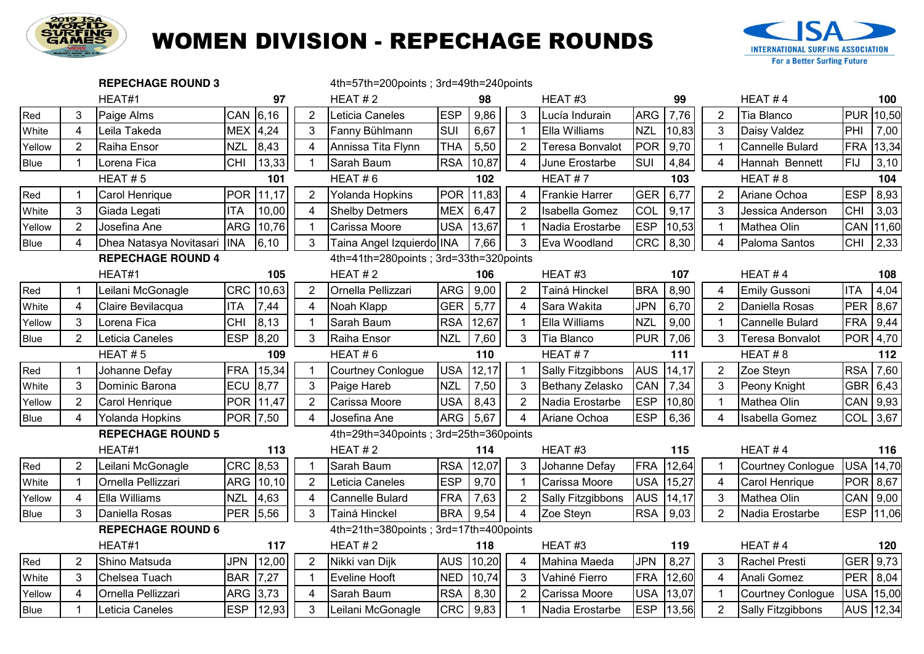

# WOMEN DIVISION - REPECHAGE ROUNDS



|             |                | <b>REPECHAGE ROUND 3</b> |            |           |                       | 4th=57th=200points; 3rd=49th=240points |            |                        |                |                        |            |       |                         |                          |            |       |
|-------------|----------------|--------------------------|------------|-----------|-----------------------|----------------------------------------|------------|------------------------|----------------|------------------------|------------|-------|-------------------------|--------------------------|------------|-------|
|             |                | HEAT#1                   |            | 97        |                       | HEAT#2                                 |            | 98                     |                | HEAT#3                 |            | 99    |                         | HEAT#4                   |            | 100   |
| Red         | 3              | Paige Alms               | <b>CAN</b> | 6,16      | $\overline{2}$        | Leticia Caneles                        | <b>ESP</b> | 9,86                   | 3              | Lucía Indurain         | <b>ARG</b> | 7,76  | 2                       | Tia Blanco               | <b>PUR</b> | 10,50 |
| White       | 4              | Leila Takeda             | $MEX$ 4,24 |           | 3                     | Fanny Bühlmann                         | SUI        | 6,67                   | $\mathbf 1$    | Ella Williams          | <b>NZL</b> | 10,83 | 3                       | Daisy Valdez             | PHI        | 7,00  |
| Yellow      | 2              | Raiha Ensor              | <b>NZL</b> | 8,43      | 4                     | Annissa Tita Flynn                     | <b>THA</b> | 5,50                   | $\overline{2}$ | <b>Teresa Bonvalot</b> | <b>POR</b> | 9,70  | $\mathbf 1$             | <b>Cannelle Bulard</b>   | <b>FRA</b> | 13,34 |
| Blue        |                | Lorena Fica              | <b>CHI</b> | 13,33     |                       | Sarah Baum                             | <b>RSA</b> | 10,87                  | $\overline{4}$ | June Erostarbe         | SUI        | 4,84  | $\overline{\mathbf{A}}$ | Hannah Bennett           | FIJ        | 3,10  |
|             |                | HEAT#5                   |            | 101       |                       | HEAT#6                                 |            | 102                    |                | HEAT#7                 |            | 103   |                         | HEAT#8                   |            | 104   |
| Red         |                | Carol Henrique           |            | POR 11,17 | $\overline{2}$        | Yolanda Hopkins                        | <b>POR</b> | 11,83                  | $\overline{4}$ | <b>Frankie Harrer</b>  | <b>GER</b> | 6,77  | $\overline{2}$          | Ariane Ochoa             | <b>ESP</b> | 8,93  |
| White       | 3              | Giada Legati             | <b>ITA</b> | 10,00     | 4                     | <b>Shelby Detmers</b>                  | <b>MEX</b> | 6,47                   | $\overline{2}$ | Isabella Gomez         | COL        | 9,17  | 3                       | Jessica Anderson         | <b>CHI</b> | 3,03  |
| Yellow      | $\overline{2}$ | Josefina Ane             |            | ARG 10,76 | -1                    | Carissa Moore                          | <b>USA</b> | 13,67                  | -1             | Nadia Erostarbe        | <b>ESP</b> | 10,53 | $\overline{1}$          | Mathea Olin              | CAN        | 11,60 |
| <b>Blue</b> | 4              | Dhea Natasya Novitasari  | <b>INA</b> | 6, 10     | 3                     | Taina Angel Izquierdo INA              |            | 7,66                   | 3              | Eva Woodland           | <b>CRC</b> | 8,30  | $\overline{4}$          | Paloma Santos            | <b>CHI</b> | 2,33  |
|             |                | <b>REPECHAGE ROUND 4</b> |            |           |                       | 4th=41th=280points; 3rd=33th=320points |            |                        |                |                        |            |       |                         |                          |            |       |
|             |                | HEAT#1                   |            | 105       |                       | HEAT#2                                 |            | 106                    |                | HEAT#3                 |            | 107   |                         | HEAT#4                   |            | 108   |
| Red         |                | Leilani McGonagle        |            | CRC 10,63 | $\overline{2}$        | Ornella Pellizzari                     | <b>ARG</b> | 9,00                   | $\overline{2}$ | Tainá Hinckel          | <b>BRA</b> | 8,90  | $\overline{4}$          | Emily Gussoni            | <b>ITA</b> | 4,04  |
| White       | 4              | Claire Bevilacqua        | <b>ITA</b> | 7,44      | 4                     | Noah Klapp                             | <b>GER</b> | 5,77                   | $\overline{4}$ | Sara Wakita            | <b>JPN</b> | 6,70  | 2                       | Daniella Rosas           | <b>PER</b> | 8,67  |
| Yellow      | 3              | Lorena Fica              | <b>CHI</b> | 8,13      |                       | Sarah Baum                             | <b>RSA</b> | 12,67                  | -1             | Ella Williams          | <b>NZL</b> | 9,00  | $\mathbf{1}$            | Cannelle Bulard          | <b>FRA</b> | 9,44  |
| <b>Blue</b> | $\overline{2}$ | Leticia Caneles          | <b>ESP</b> | 8,20      | 3                     | Raiha Ensor                            | <b>NZL</b> | 7,60                   | 3              | Tia Blanco             | <b>PUR</b> | 7,06  | 3                       | <b>Teresa Bonvalot</b>   | <b>POR</b> | 4,70  |
|             | HEAT#5<br>109  |                          |            |           | HEAT#6                |                                        | 110        |                        | HEAT#7         |                        | 111        |       | HEAT#8                  |                          | 112        |       |
| Red         |                | Johanne Defay            | <b>FRA</b> | 15,34     |                       | Courtney Conlogue                      | <b>USA</b> | 12,17                  |                | Sally Fitzgibbons      | <b>AUS</b> | 14,17 | 2                       | Zoe Steyn                | RSA        | 7,60  |
| White       | 3              | Dominic Barona           | ECU        | 8,77      | 3                     | Paige Hareb                            | <b>NZL</b> | 7,50                   | 3              | Bethany Zelasko        | CAN        | 7,34  | 3                       | Peony Knight             | <b>GBR</b> | 6,43  |
| Yellow      | $\overline{2}$ | Carol Henrique           |            | POR 11,47 | $\overline{2}$        | Carissa Moore                          |            | USA $\vert 8,43 \vert$ | $\overline{2}$ | Nadia Erostarbe        | <b>ESP</b> | 10,80 | $\mathbf{1}$            | Mathea Olin              | CAN 9,93   |       |
| Blue        | 4              | Yolanda Hopkins          | POR 7,50   |           | $\overline{4}$        | Josefina Ane                           | ARG        | 5,67                   | $\overline{4}$ | Ariane Ochoa           | <b>ESP</b> | 6,36  | $\overline{a}$          | <b>Isabella Gomez</b>    | COL        | 3,67  |
|             |                | <b>REPECHAGE ROUND 5</b> |            |           |                       | 4th=29th=340points; 3rd=25th=360points |            |                        |                |                        |            |       |                         |                          |            |       |
|             |                | HEAT#1                   |            | 113       |                       | HEAT#2                                 |            | 114                    |                | HEAT#3                 |            | 115   |                         | HEAT#4                   |            | 116   |
| Red         | $\overline{2}$ | Leilani McGonagle        | CRC 8,53   |           |                       | Sarah Baum                             | <b>RSA</b> | 12,07                  | 3              | Johanne Defay          | <b>FRA</b> | 12,64 | $\mathbf{1}$            | Courtney Conlogue        | USA 14,70  |       |
| White       |                | Ornella Pellizzari       |            | ARG 10,10 | 2                     | Leticia Caneles                        | <b>ESP</b> | 9,70                   | -1             | Carissa Moore          | <b>USA</b> | 15,27 | $\overline{4}$          | Carol Henrique           | POR 8,67   |       |
| Yellow      | 4              | Ella Williams            | <b>NZL</b> | 4,63      | $\boldsymbol{\Delta}$ | Cannelle Bulard                        | <b>FRA</b> | 7,63                   | $\overline{2}$ | Sally Fitzgibbons      | <b>AUS</b> | 14,17 | 3                       | Mathea Olin              | CAN 9,00   |       |
| <b>Blue</b> | 3              | Daniella Rosas           | PER 5,56   |           | 3                     | Tainá Hinckel                          | BRA        | 9,54                   | 4              | Zoe Steyn              | <b>RSA</b> | 9,03  | 2                       | Nadia Erostarbe          | ESP 11,06  |       |
|             |                | <b>REPECHAGE ROUND 6</b> |            |           |                       | 4th=21th=380points; 3rd=17th=400points |            |                        |                |                        |            |       |                         |                          |            |       |
|             |                | HEAT#1                   |            | 117       |                       | HEAT#2                                 |            | 118                    |                | HEAT#3                 |            | 119   |                         | HEAT#4                   |            | 120   |
| Red         | $\overline{2}$ | Shino Matsuda            | <b>JPN</b> | 12,00     | $\overline{2}$        | Nikki van Dijk                         | <b>AUS</b> | 10,20                  | $\overline{4}$ | Mahina Maeda           | <b>JPN</b> | 8,27  | 3                       | Rachel Presti            | GER $9,73$ |       |
| White       | 3              | Chelsea Tuach            | <b>BAR</b> | 7,27      | -1                    | Eveline Hooft                          | <b>NED</b> | 10,74                  | 3              | Vahiné Fierro          | <b>FRA</b> | 12,60 | $\overline{4}$          | Anali Gomez              | PER 8,04   |       |
| Yellow      | 4              | Ornella Pellizzari       | ARG 3,73   |           | $\overline{4}$        | Sarah Baum                             | <b>RSA</b> | 8,30                   | $\overline{2}$ | Carissa Moore          | <b>USA</b> | 13,07 | $\mathbf{1}$            | <b>Courtney Conlogue</b> | USA 15,00  |       |
| <b>Blue</b> |                | Leticia Caneles          | <b>ESP</b> | 12,93     | 3                     | Leilani McGonagle                      | CRC        | 9,83                   |                | Nadia Erostarbe        | <b>ESP</b> | 13,56 | 2                       | Sally Fitzgibbons        | AUS 12,34  |       |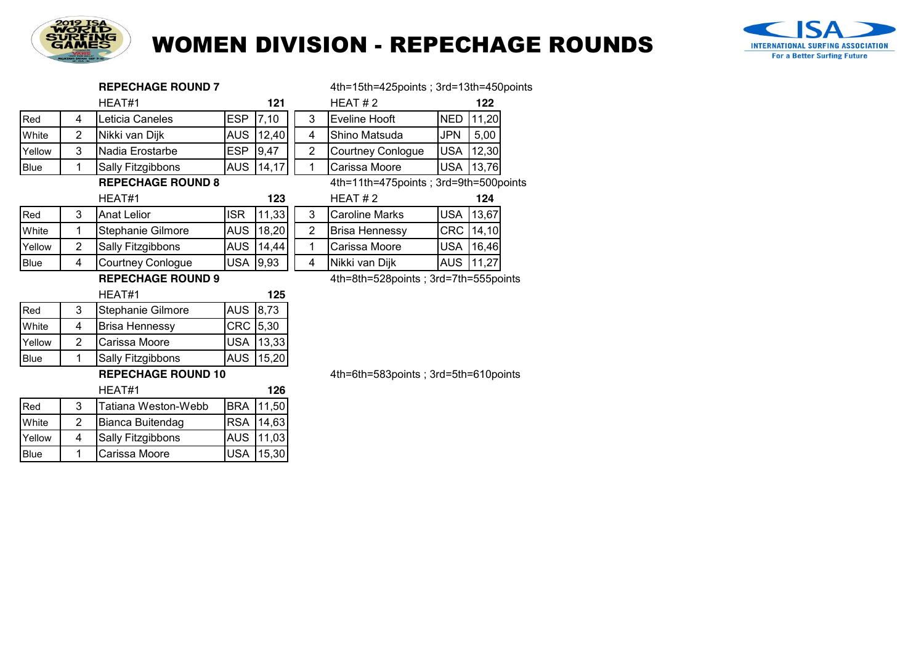

### WOMEN DIVISION - REPECHAGE ROUNDS



|             |                | <b>REPECHAGE ROUND 7</b>  |            |        |                                       |                                       | 4th=15th=425points; 3rd=13th=450points |                      |  |
|-------------|----------------|---------------------------|------------|--------|---------------------------------------|---------------------------------------|----------------------------------------|----------------------|--|
|             |                | HEAT#1                    |            | 121    |                                       |                                       | HEAT#2                                 | 122                  |  |
| Red         | 4              | Leticia Caneles           | <b>ESP</b> | 7,10   |                                       | 3                                     | <b>Eveline Hooft</b>                   | 11,20<br><b>NED</b>  |  |
| White       | $\overline{2}$ | Nikki van Dijk            | <b>AUS</b> | 12,40  |                                       | 4                                     | Shino Matsuda                          | 5,00<br><b>JPN</b>   |  |
| Yellow      | 3              | Nadia Erostarbe           | <b>ESP</b> | 9,47   |                                       | $\overline{2}$                        | <b>Courtney Conlogue</b>               | 12,30<br><b>USA</b>  |  |
| Blue        | 1              | Sally Fitzgibbons         | <b>AUS</b> | 14, 17 |                                       | 1                                     | Carissa Moore                          | <b>USA</b><br> 13,76 |  |
|             |                | <b>REPECHAGE ROUND 8</b>  |            |        | 4th=11th=475points; 3rd=9th=500points |                                       |                                        |                      |  |
|             |                | HEAT#1                    |            | 123    |                                       |                                       | HEAT#2                                 | 124                  |  |
| Red         | 3              | <b>Anat Lelior</b>        | <b>ISR</b> | 11,33  |                                       | 3                                     | <b>Caroline Marks</b>                  | <b>USA</b><br>13,67  |  |
| White       | 1              | Stephanie Gilmore         | <b>AUS</b> | 18,20  |                                       | $\overline{2}$                        | <b>Brisa Hennessy</b>                  | <b>CRC</b><br>14, 10 |  |
| Yellow      | $\overline{2}$ | Sally Fitzgibbons         | <b>AUS</b> | 14,44  |                                       | 1                                     | Carissa Moore                          | 16,46<br><b>USA</b>  |  |
| <b>Blue</b> | 4              | <b>Courtney Conlogue</b>  | <b>USA</b> | 9,93   |                                       | $\overline{4}$                        | Nikki van Dijk                         | 11,27<br><b>AUS</b>  |  |
|             |                | <b>REPECHAGE ROUND 9</b>  |            |        | 4th=8th=528points; 3rd=7th=555points  |                                       |                                        |                      |  |
|             |                | HEAT#1                    |            | 125    |                                       |                                       |                                        |                      |  |
| Red         | 3              | Stephanie Gilmore         | <b>AUS</b> | 8,73   |                                       |                                       |                                        |                      |  |
| White       | 4              | <b>Brisa Hennessy</b>     | <b>CRC</b> | 5,30   |                                       |                                       |                                        |                      |  |
| Yellow      | $\overline{2}$ | Carissa Moore             | <b>USA</b> | 13,33  |                                       |                                       |                                        |                      |  |
| Blue        | 1              | Sally Fitzgibbons         | AUS.       | 15,20  |                                       |                                       |                                        |                      |  |
|             |                | <b>REPECHAGE ROUND 10</b> |            |        |                                       | 4th=6th=583points ; 3rd=5th=610points |                                        |                      |  |
|             |                | HEAT#1<br>126             |            |        |                                       |                                       |                                        |                      |  |
| Red         | 3              | Tatiana Weston-Webb       | <b>BRA</b> | 11,50  |                                       |                                       |                                        |                      |  |
| White       | $\overline{2}$ | Bianca Buitendag          | <b>RSA</b> | 14,63  |                                       |                                       |                                        |                      |  |
| Yellow      | 4              | Sally Fitzgibbons         | <b>AUS</b> | 11,03  |                                       |                                       |                                        |                      |  |
| Blue        | 1              | Carissa Moore             | <b>USA</b> | 15,30  |                                       |                                       |                                        |                      |  |